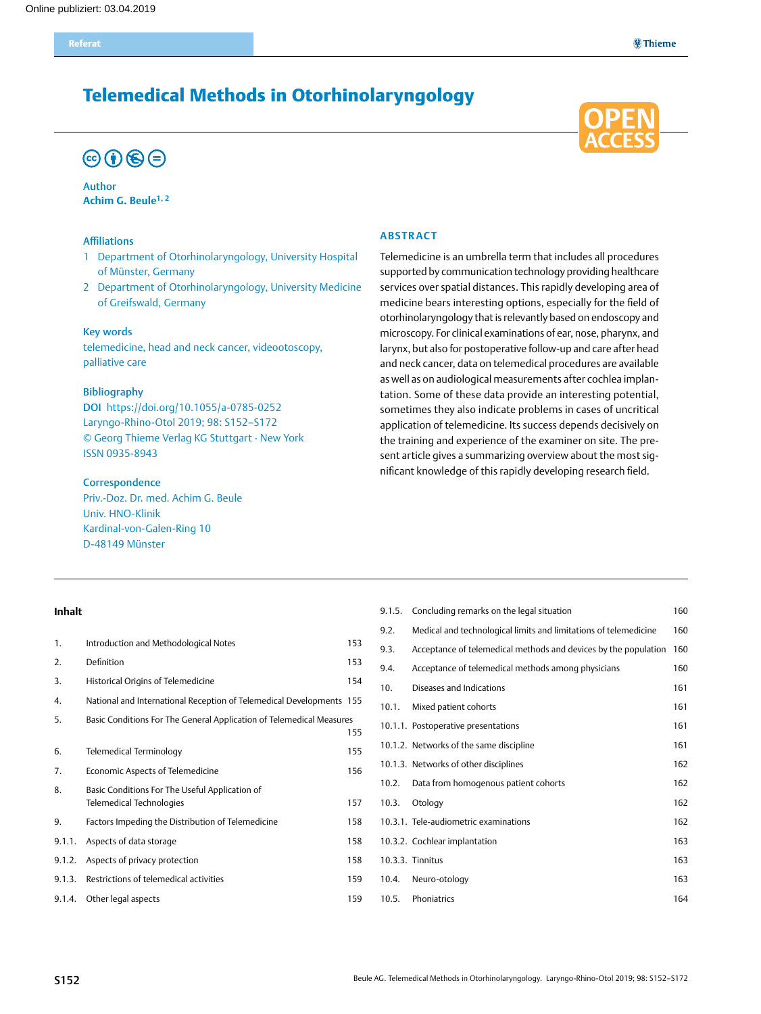## Telemedical Methods in Otorhinolaryngology

# $\circledcirc$  (i)  $\circledcirc$  (=)

Author **Achim G. Beule1, 2**

### Affiliations

- 1 Department of Otorhinolaryngology, University Hospital of Münster, Germany
- 2 Department of Otorhinolaryngology, University Medicine of Greifswald, Germany

### Key words

telemedicine, head and neck cancer, videootoscopy, palliative care

### Bibliography

DOI https://doi.org/10.1055/a-0785-0252 Laryngo-Rhino-Otol 2019; 98: S152–S172 © Georg Thieme Verlag KG Stuttgart · New York ISSN 0935-8943

#### **Correspondence**

Priv.-Doz. Dr. med. Achim G. Beule Univ. HNO-Klinik Kardinal-von-Galen-Ring 10 D-48149 Münster

### **Abstract**

Telemedicine is an umbrella term that includes all procedures supported by communication technology providing healthcare services over spatial distances. This rapidly developing area of medicine bears interesting options, especially for the field of otorhinolaryngology that is relevantly based on endoscopy and microscopy. For clinical examinations of ear, nose, pharynx, and larynx, but also for postoperative follow-up and care after head and neck cancer, data on telemedical procedures are available as well as on audiological measurements after cochlea implantation. Some of these data provide an interesting potential, sometimes they also indicate problems in cases of uncritical application of telemedicine. Its success depends decisively on the training and experience of the examiner on site. The present article gives a summarizing overview about the most significant knowledge of this rapidly developing research field.

#### **Inhalt**

| 1.     | Introduction and Methodological Notes                                | 153 |
|--------|----------------------------------------------------------------------|-----|
| 2.     | Definition                                                           | 153 |
| 3.     | Historical Origins of Telemedicine                                   | 154 |
| 4.     | National and International Reception of Telemedical Developments 155 |     |
| 5.     | Basic Conditions For The General Application of Telemedical Measures |     |
|        |                                                                      | 155 |
| 6.     | Telemedical Terminology                                              | 155 |
| 7.     | Economic Aspects of Telemedicine                                     | 156 |
| 8.     | Basic Conditions For The Useful Application of                       |     |
|        | Telemedical Technologies                                             | 157 |
| 9.     | Factors Impeding the Distribution of Telemedicine                    | 158 |
| 9.1.1. | Aspects of data storage                                              | 158 |
| 9.1.2. | Aspects of privacy protection                                        | 158 |
| 9.1.3. | Restrictions of telemedical activities                               | 159 |
| 9.1.4. | Other legal aspects                                                  | 159 |

| 9.1.5. | Concluding remarks on the legal situation                        | 160 |
|--------|------------------------------------------------------------------|-----|
| 9.2.   | Medical and technological limits and limitations of telemedicine | 160 |
| 9.3.   | Acceptance of telemedical methods and devices by the population  | 160 |
| 9.4.   | Acceptance of telemedical methods among physicians               | 160 |
| 10.    | Diseases and Indications                                         | 161 |
| 10.1.  | Mixed patient cohorts                                            | 161 |
|        | 10.1.1. Postoperative presentations                              | 161 |
|        | 10.1.2. Networks of the same discipline                          | 161 |
|        | 10.1.3. Networks of other disciplines                            | 162 |
| 10.2.  | Data from homogenous patient cohorts                             | 162 |
| 10.3.  | Otology                                                          | 162 |
|        | 10.3.1. Tele-audiometric examinations                            | 162 |
|        | 10.3.2. Cochlear implantation                                    | 163 |
|        | 10.3.3. Tinnitus                                                 | 163 |
| 10.4.  | Neuro-otology                                                    | 163 |
| 10.5.  | Phoniatrics                                                      | 164 |
|        |                                                                  |     |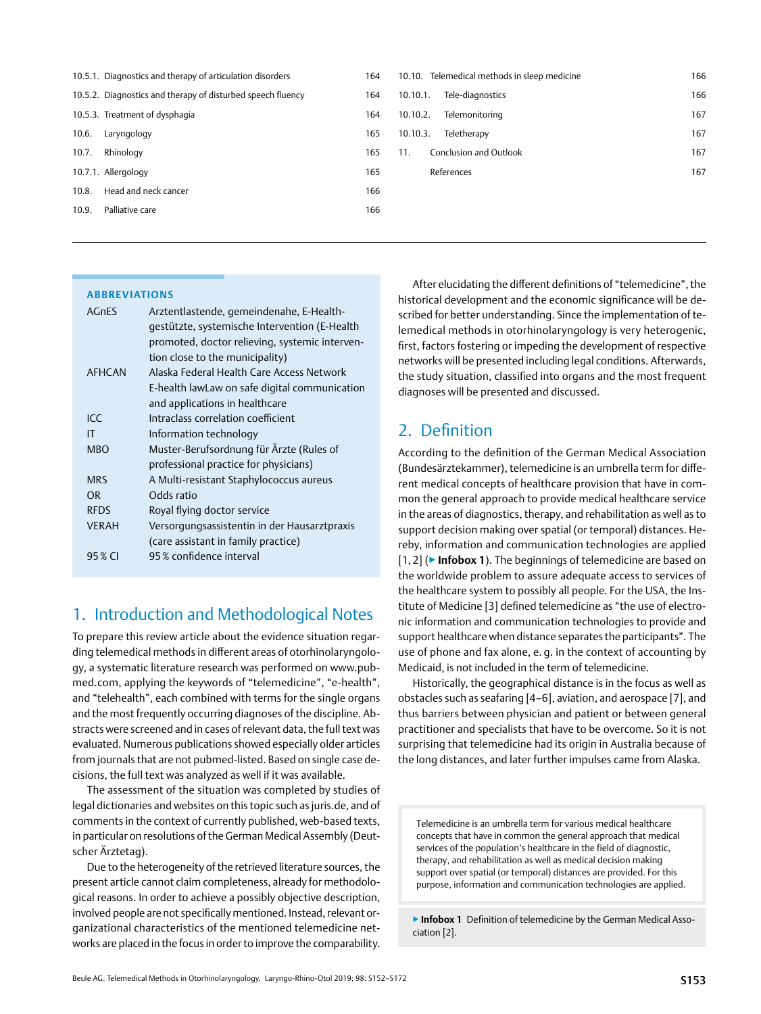<span id="page-1-0"></span>

|       | 10.5.1. Diagnostics and therapy of articulation disorders   | 164 | 10.10. Telemedical methods in sleep medicine | 166 |
|-------|-------------------------------------------------------------|-----|----------------------------------------------|-----|
|       | 10.5.2. Diagnostics and therapy of disturbed speech fluency | 164 | Tele-diagnostics<br>10.10.1.                 | 166 |
|       | 10.5.3. Treatment of dysphagia                              | 164 | 10.10.2.<br>Telemonitoring                   | 167 |
| 10.6. | Laryngology                                                 | 165 | Teletherapy<br>10.10.3.                      | 167 |
| 10.7. | Rhinology                                                   | 165 | Conclusion and Outlook<br>11.                | 167 |
|       | 10.7.1. Allergology                                         | 165 | References                                   | 167 |
| 10.8. | Head and neck cancer                                        | 166 |                                              |     |
| 10.9. | Palliative care                                             | 166 |                                              |     |
|       |                                                             |     |                                              |     |

### **Abbreviations**

| <b>AGnES</b>  | Arztentlastende, gemeindenahe, E-Health-       |
|---------------|------------------------------------------------|
|               | gestützte, systemische Intervention (E-Health  |
|               | promoted, doctor relieving, systemic interven- |
|               | tion close to the municipality)                |
| <b>AFHCAN</b> | Alaska Federal Health Care Access Network      |
|               | E-health lawLaw on safe digital communication  |
|               | and applications in healthcare                 |
| ICC           | Intraclass correlation coefficient             |
| IT            | Information technology                         |
| <b>MBO</b>    | Muster-Berufsordnung für Ärzte (Rules of       |
|               | professional practice for physicians)          |
| <b>MRS</b>    | A Multi-resistant Staphylococcus aureus        |
| OR.           | Odds ratio                                     |
| <b>RFDS</b>   | Royal flying doctor service                    |
| <b>VERAH</b>  | Versorgungsassistentin in der Hausarztpraxis   |
|               | (care assistant in family practice)            |
| 95 % CI       | 95% confidence interval                        |
|               |                                                |

## 1. Introduction and Methodological Notes

To prepare this review article about the evidence situation regarding telemedical methods in different areas of otorhinolaryngology, a systematic literature research was performed on www.pubmed.com, applying the keywords of "telemedicine", "e-health", and "telehealth", each combined with terms for the single organs and the most frequently occurring diagnoses of the discipline. Abstracts were screened and in cases of relevant data, the full text was evaluated. Numerous publications showed especially older articles from journals that are not pubmed-listed. Based on single case decisions, the full text was analyzed as well if it was available.

The assessment of the situation was completed by studies of legal dictionaries and websites on this topic such as juris.de, and of comments in the context of currently published, web-based texts, in particular on resolutions of the German Medical Assembly (Deutscher Ärztetag).

Due to the heterogeneity of the retrieved literature sources, the present article cannot claim completeness, already for methodological reasons. In order to achieve a possibly objective description, involved people are not specifically mentioned. Instead, relevant organizational characteristics of the mentioned telemedicine networks are placed in the focus in order to improve the comparability.

After elucidating the different definitions of "telemedicine", the historical development and the economic significance will be described for better understanding. Since the implementation of telemedical methods in otorhinolaryngology is very heterogenic, first, factors fostering or impeding the development of respective networks will be presented including legal conditions. Afterwards, the study situation, classified into organs and the most frequent diagnoses will be presented and discussed.

## 2. Definition

According to the definition of the German Medical Association (Bundesärztekammer), telemedicine is an umbrella term for different medical concepts of healthcare provision that have in common the general approach to provide medical healthcare service in the areas of diagnostics, therapy, and rehabilitation as well as to support decision making over spatial (or temporal) distances. Hereby, information and communication technologies are applied [1, 2] (▶**Infobox 1**). The beginnings of telemedicine are based on the worldwide problem to assure adequate access to services of the healthcare system to possibly all people. For the USA, the Institute of Medicine [3] defined telemedicine as "the use of electronic information and communication technologies to provide and support healthcare when distance separates the participants". The use of phone and fax alone, e. g. in the context of accounting by Medicaid, is not included in the term of telemedicine.

Historically, the geographical distance is in the focus as well as obstacles such as seafaring [4–6], aviation, and aerospace [7], and thus barriers between physician and patient or between general practitioner and specialists that have to be overcome. So it is not surprising that telemedicine had its origin in Australia because of the long distances, and later further impulses came from Alaska.

Telemedicine is an umbrella term for various medical healthcare concepts that have in common the general approach that medical services of the population's healthcare in the field of diagnostic, therapy, and rehabilitation as well as medical decision making support over spatial (or temporal) distances are provided. For this purpose, information and communication technologies are applied.

▶**Infobox 1** Definition of telemedicine by the German Medical Association [2].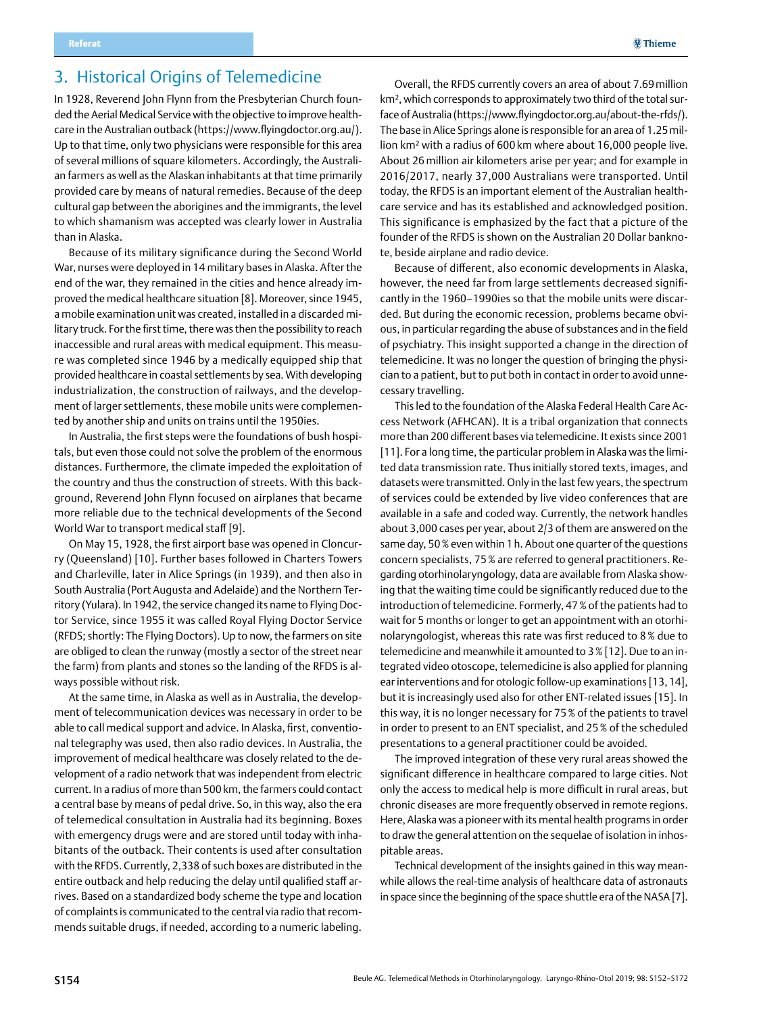# <span id="page-2-0"></span>3. Historical Origins of Telemedicine

In 1928, Reverend John Flynn from the Presbyterian Church founded the Aerial Medical Service with the objective to improve healthcare in the Australian outback (https://www.flyingdoctor.org.au/). Up to that time, only two physicians were responsible for this area of several millions of square kilometers. Accordingly, the Australian farmers as well as the Alaskan inhabitants at that time primarily provided care by means of natural remedies. Because of the deep cultural gap between the aborigines and the immigrants, the level to which shamanism was accepted was clearly lower in Australia than in Alaska.

Because of its military significance during the Second World War, nurses were deployed in 14 military bases in Alaska. After the end of the war, they remained in the cities and hence already improved the medical healthcare situation [8]. Moreover, since 1945, a mobile examination unit was created, installed in a discarded military truck. For the first time, there was then the possibility to reach inaccessible and rural areas with medical equipment. This measure was completed since 1946 by a medically equipped ship that provided healthcare in coastal settlements by sea. With developing industrialization, the construction of railways, and the development of larger settlements, these mobile units were complemented by another ship and units on trains until the 1950ies.

In Australia, the first steps were the foundations of bush hospitals, but even those could not solve the problem of the enormous distances. Furthermore, the climate impeded the exploitation of the country and thus the construction of streets. With this background, Reverend John Flynn focused on airplanes that became more reliable due to the technical developments of the Second World War to transport medical staff [9].

On May 15, 1928, the first airport base was opened in Cloncurry (Queensland) [10]. Further bases followed in Charters Towers and Charleville, later in Alice Springs (in 1939), and then also in South Australia (Port Augusta and Adelaide) and the Northern Territory (Yulara). In 1942, the service changed its name to Flying Doctor Service, since 1955 it was called Royal Flying Doctor Service (RFDS; shortly: The Flying Doctors). Up to now, the farmers on site are obliged to clean the runway (mostly a sector of the street near the farm) from plants and stones so the landing of the RFDS is always possible without risk.

At the same time, in Alaska as well as in Australia, the development of telecommunication devices was necessary in order to be able to call medical support and advice. In Alaska, first, conventional telegraphy was used, then also radio devices. In Australia, the improvement of medical healthcare was closely related to the development of a radio network that was independent from electric current. In a radius of more than 500km, the farmers could contact a central base by means of pedal drive. So, in this way, also the era of telemedical consultation in Australia had its beginning. Boxes with emergency drugs were and are stored until today with inhabitants of the outback. Their contents is used after consultation with the RFDS. Currently, 2,338 of such boxes are distributed in the entire outback and help reducing the delay until qualified staff arrives. Based on a standardized body scheme the type and location of complaints is communicated to the central via radio that recommends suitable drugs, if needed, according to a numeric labeling.

Overall, the RFDS currently covers an area of about 7.69million km<sup>2</sup>, which corresponds to approximately two third of the total surface of Australia (https://www.flyingdoctor.org.au/about-the-rfds/). The base in Alice Springs alone is responsible for an area of 1.25million km² with a radius of 600 km where about 16,000 people live. About 26 million air kilometers arise per year; and for example in 2016/2017, nearly 37,000 Australians were transported. Until today, the RFDS is an important element of the Australian healthcare service and has its established and acknowledged position. This significance is emphasized by the fact that a picture of the founder of the RFDS is shown on the Australian 20 Dollar banknote, beside airplane and radio device.

Because of different, also economic developments in Alaska, however, the need far from large settlements decreased significantly in the 1960–1990ies so that the mobile units were discarded. But during the economic recession, problems became obvious, in particular regarding the abuse of substances and in the field of psychiatry. This insight supported a change in the direction of telemedicine. It was no longer the question of bringing the physician to a patient, but to put both in contact in order to avoid unnecessary travelling.

This led to the foundation of the Alaska Federal Health Care Access Network (AFHCAN). It is a tribal organization that connects more than 200 different bases via telemedicine. It exists since 2001 [11]. For a long time, the particular problem in Alaska was the limited data transmission rate. Thus initially stored texts, images, and datasets were transmitted. Only in the last few years, the spectrum of services could be extended by live video conferences that are available in a safe and coded way. Currently, the network handles about 3,000 cases per year, about 2/3 of them are answered on the same day, 50% even within 1h. About one quarter of the questions concern specialists, 75% are referred to general practitioners. Regarding otorhinolaryngology, data are available from Alaska showing that the waiting time could be significantly reduced due to the introduction of telemedicine. Formerly, 47% of the patients had to wait for 5 months or longer to get an appointment with an otorhinolaryngologist, whereas this rate was first reduced to 8% due to telemedicine and meanwhile it amounted to 3% [12]. Due to an integrated video otoscope, telemedicine is also applied for planning ear interventions and for otologic follow-up examinations [13,14], but it is increasingly used also for other ENT-related issues [15]. In this way, it is no longer necessary for 75% of the patients to travel in order to present to an ENT specialist, and 25% of the scheduled presentations to a general practitioner could be avoided.

The improved integration of these very rural areas showed the significant difference in healthcare compared to large cities. Not only the access to medical help is more difficult in rural areas, but chronic diseases are more frequently observed in remote regions. Here, Alaska was a pioneer with its mental health programs in order to draw the general attention on the sequelae of isolation in inhospitable areas.

Technical development of the insights gained in this way meanwhile allows the real-time analysis of healthcare data of astronauts in space since the beginning of the space shuttle era of the NASA [7].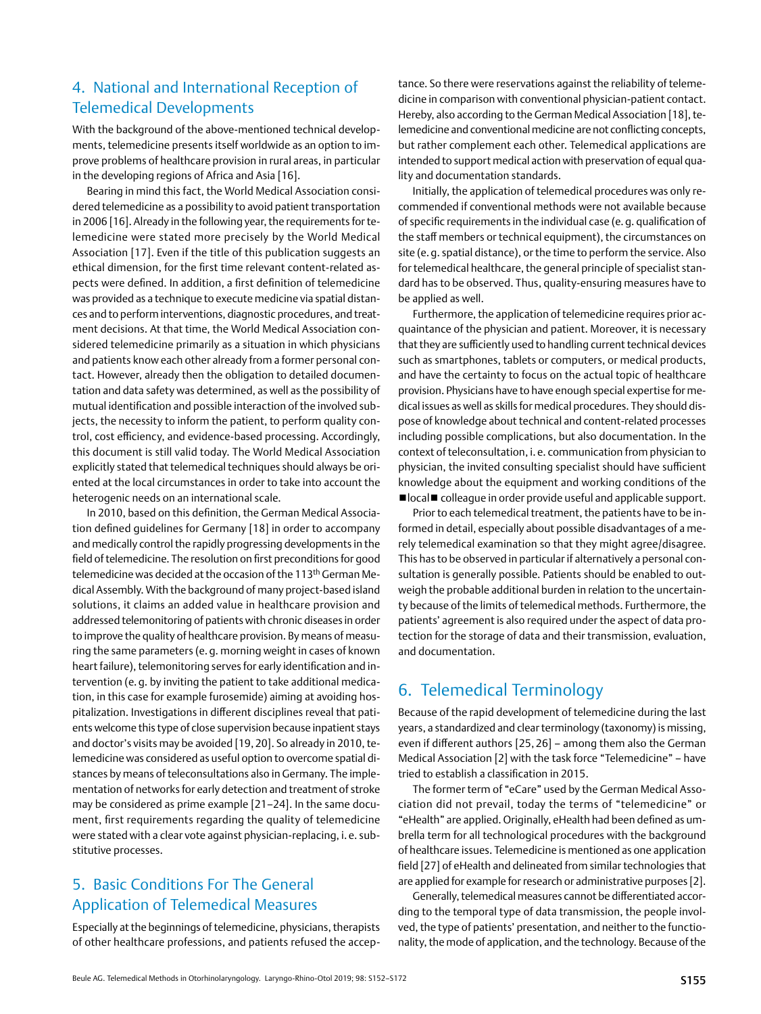## <span id="page-3-0"></span>4. National and International Reception of Telemedical Developments

With the background of the above-mentioned technical developments, telemedicine presents itself worldwide as an option to improve problems of healthcare provision in rural areas, in particular in the developing regions of Africa and Asia [16].

Bearing in mind this fact, the World Medical Association considered telemedicine as a possibility to avoid patient transportation in 2006 [16]. Already in the following year, the requirements for telemedicine were stated more precisely by the World Medical Association [17]. Even if the title of this publication suggests an ethical dimension, for the first time relevant content-related aspects were defined. In addition, a first definition of telemedicine was provided as a technique to execute medicine via spatial distances and to perform interventions, diagnostic procedures, and treatment decisions. At that time, the World Medical Association considered telemedicine primarily as a situation in which physicians and patients know each other already from a former personal contact. However, already then the obligation to detailed documentation and data safety was determined, as well as the possibility of mutual identification and possible interaction of the involved subjects, the necessity to inform the patient, to perform quality control, cost efficiency, and evidence-based processing. Accordingly, this document is still valid today. The World Medical Association explicitly stated that telemedical techniques should always be oriented at the local circumstances in order to take into account the heterogenic needs on an international scale.

In 2010, based on this definition, the German Medical Association defined guidelines for Germany [18] in order to accompany and medically control the rapidly progressing developments in the field of telemedicine. The resolution on first preconditions for good telemedicine was decided at the occasion of the 113<sup>th</sup> German Medical Assembly. With the background of many project-based island solutions, it claims an added value in healthcare provision and addressed telemonitoring of patients with chronic diseases in order to improve the quality of healthcare provision. By means of measuring the same parameters (e. g. morning weight in cases of known heart failure), telemonitoring serves for early identification and intervention (e. g. by inviting the patient to take additional medication, in this case for example furosemide) aiming at avoiding hospitalization. Investigations in different disciplines reveal that patients welcome this type of close supervision because inpatient stays and doctor's visits may be avoided [19, 20]. So already in 2010, telemedicine was considered as useful option to overcome spatial distances by means of teleconsultations also in Germany. The implementation of networks for early detection and treatment of stroke may be considered as prime example [21–24]. In the same document, first requirements regarding the quality of telemedicine were stated with a clear vote against physician-replacing, i. e. substitutive processes.

## 5. Basic Conditions For The General Application of Telemedical Measures

Especially at the beginnings of telemedicine, physicians, therapists of other healthcare professions, and patients refused the acceptance. So there were reservations against the reliability of telemedicine in comparison with conventional physician-patient contact. Hereby, also according to the German Medical Association [18], telemedicine and conventional medicine are not conflicting concepts, but rather complement each other. Telemedical applications are intended to support medical action with preservation of equal quality and documentation standards.

Initially, the application of telemedical procedures was only recommended if conventional methods were not available because of specific requirements in the individual case (e.g. qualification of the staff members or technical equipment), the circumstances on site (e. g. spatial distance), or the time to perform the service. Also for telemedical healthcare, the general principle of specialist standard has to be observed. Thus, quality-ensuring measures have to be applied as well.

Furthermore, the application of telemedicine requires prior acquaintance of the physician and patient. Moreover, it is necessary that they are sufficiently used to handling current technical devices such as smartphones, tablets or computers, or medical products, and have the certainty to focus on the actual topic of healthcare provision. Physicians have to have enough special expertise for medical issues as well as skills for medical procedures. They should dispose of knowledge about technical and content-related processes including possible complications, but also documentation. In the context of teleconsultation, i. e. communication from physician to physician, the invited consulting specialist should have sufficient knowledge about the equipment and working conditions of the ■local■ colleague in order provide useful and applicable support.

Prior to each telemedical treatment, the patients have to be informed in detail, especially about possible disadvantages of a merely telemedical examination so that they might agree/disagree. This has to be observed in particular if alternatively a personal consultation is generally possible. Patients should be enabled to outweigh the probable additional burden in relation to the uncertainty because of the limits of telemedical methods. Furthermore, the patients' agreement is also required under the aspect of data protection for the storage of data and their transmission, evaluation, and documentation.

## 6. Telemedical Terminology

Because of the rapid development of telemedicine during the last years, a standardized and clear terminology (taxonomy) is missing, even if different authors [25, 26] – among them also the German Medical Association [2] with the task force "Telemedicine" – have tried to establish a classification in 2015.

The former term of "eCare" used by the German Medical Association did not prevail, today the terms of "telemedicine" or "eHealth" are applied. Originally, eHealth had been defined as umbrella term for all technological procedures with the background of healthcare issues. Telemedicine is mentioned as one application field [27] of eHealth and delineated from similar technologies that are applied for example for research or administrative purposes [2].

Generally, telemedical measures cannot be differentiated according to the temporal type of data transmission, the people involved, the type of patients' presentation, and neither to the functionality, the mode of application, and the technology. Because of the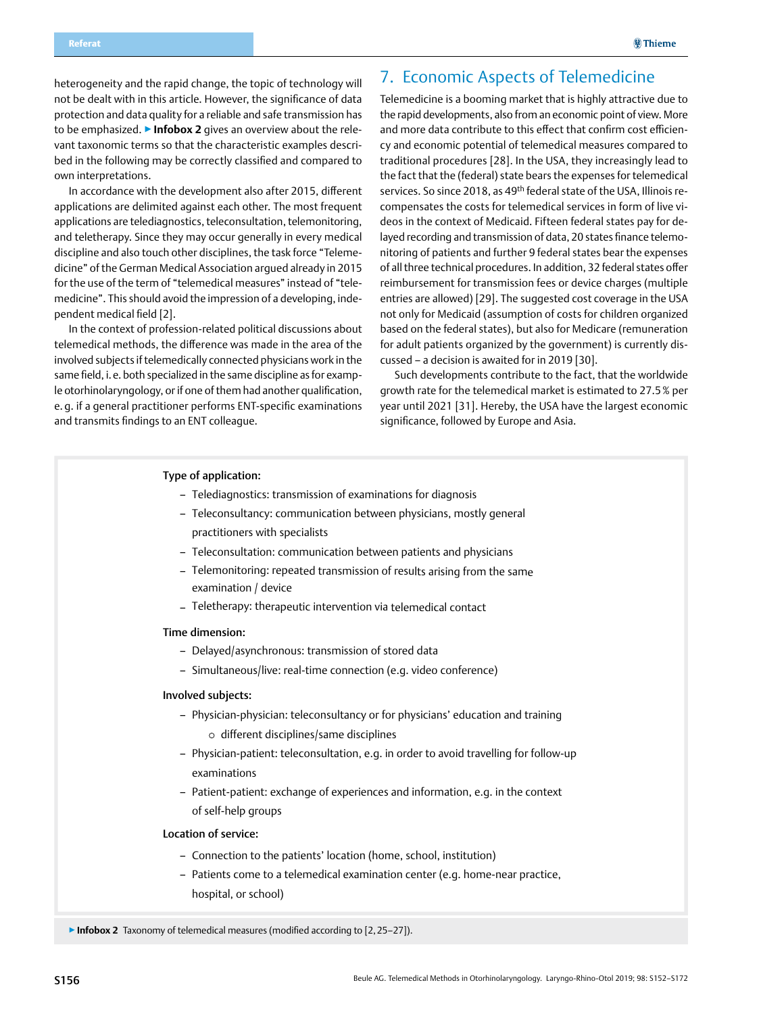<span id="page-4-0"></span>heterogeneity and the rapid change, the topic of technology will not be dealt with in this article. However, the significance of data protection and data quality for a reliable and safe transmission has to be emphasized. ▶**Infobox 2** gives an overview about the relevant taxonomic terms so that the characteristic examples described in the following may be correctly classified and compared to own interpretations.

In accordance with the development also after 2015, different applications are delimited against each other. The most frequent applications are telediagnostics, teleconsultation, telemonitoring, and teletherapy. Since they may occur generally in every medical discipline and also touch other disciplines, the task force "Telemedicine" of the German Medical Association argued already in 2015 for the use of the term of "telemedical measures" instead of "telemedicine". This should avoid the impression of a developing, independent medical field [2].

In the context of profession-related political discussions about telemedical methods, the difference was made in the area of the involved subjects if telemedically connected physicians work in the same field, i.e. both specialized in the same discipline as for example otorhinolaryngology, or if one of them had another qualification, e. g. if a general practitioner performs ENT-specific examinations and transmits findings to an ENT colleague.

## 7. Economic Aspects of Telemedicine

Telemedicine is a booming market that is highly attractive due to the rapid developments, also from an economic point of view. More and more data contribute to this effect that confirm cost efficiency and economic potential of telemedical measures compared to traditional procedures [28]. In the USA, they increasingly lead to the fact that the (federal) state bears the expenses for telemedical services. So since 2018, as 49<sup>th</sup> federal state of the USA, Illinois recompensates the costs for telemedical services in form of live videos in the context of Medicaid. Fifteen federal states pay for delayed recording and transmission of data, 20 states finance telemonitoring of patients and further 9 federal states bear the expenses of all three technical procedures. In addition, 32 federal states offer reimbursement for transmission fees or device charges (multiple entries are allowed) [29]. The suggested cost coverage in the USA not only for Medicaid (assumption of costs for children organized based on the federal states), but also for Medicare (remuneration for adult patients organized by the government) is currently discussed – a decision is awaited for in 2019 [30].

Such developments contribute to the fact, that the worldwide growth rate for the telemedical market is estimated to 27.5% per year until 2021 [31]. Hereby, the USA have the largest economic significance, followed by Europe and Asia.

#### Type of application:

- Telediagnostics: transmission of examinations for diagnosis
- Teleconsultancy: communication between physicians, mostly general practitioners with specialists
- Teleconsultation: communication between patients and physicians
- Telemonitoring: repeated transmission of results arising from the same examination / device
- Teletherapy: therapeutic intervention via telemedical contact

#### Time dimension:

- Delayed/asynchronous: transmission of stored data
- Simultaneous/live: real-time connection (e.g. video conference)

#### Involved subjects:

- Physician-physician: teleconsultancy or for physicians' education and training  $\circ$  different disciplines/same disciplines
- Physician-patient: teleconsultation, e.g. in order to avoid travelling for follow-up examinations
- Patient-patient: exchange of experiences and information, e.g. in the context of self-help groups

### Location of service:

- Connection to the patients' location (home, school, institution)
- Patients come to a telemedical examination center (e.g. home-near practice, hospital, or school)

▶**Infobox 2** Taxonomy of telemedical measures (modified according to [2,25–27]).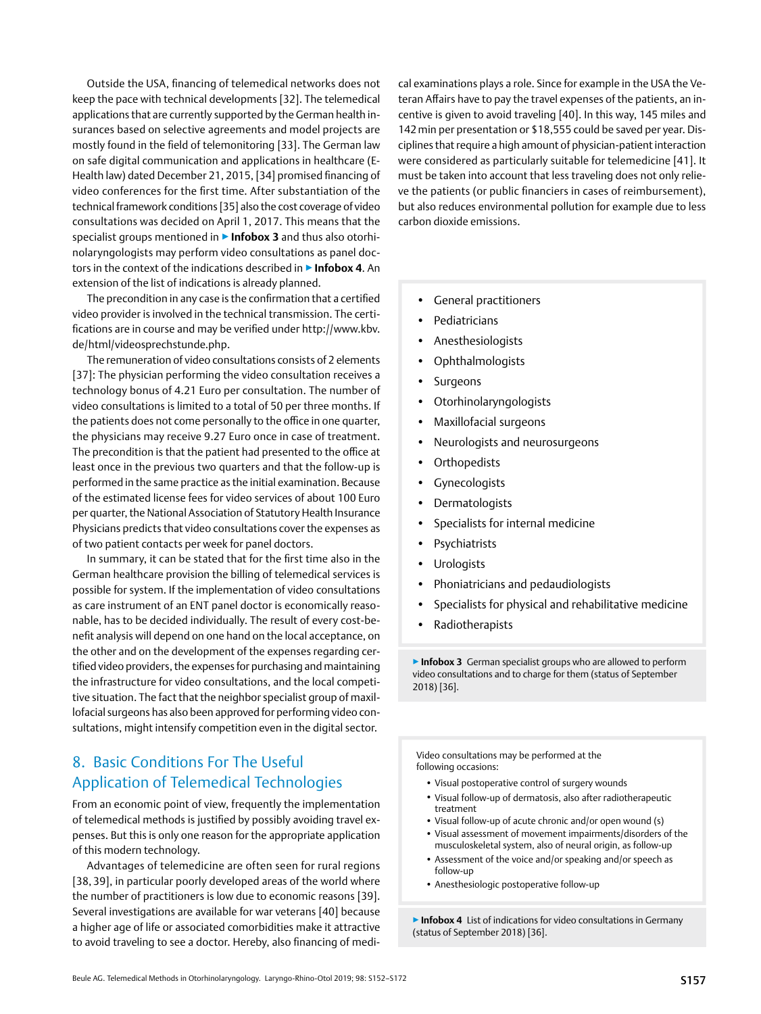<span id="page-5-0"></span>Outside the USA, financing of telemedical networks does not keep the pace with technical developments [32]. The telemedical applications that are currently supported by the German health insurances based on selective agreements and model projects are mostly found in the field of telemonitoring [33]. The German law on safe digital communication and applications in healthcare (E-Health law) dated December 21, 2015, [34] promised financing of video conferences for the first time. After substantiation of the technical framework conditions [35] also the cost coverage of video consultations was decided on April 1, 2017. This means that the specialist groups mentioned in ▶ Infobox 3 and thus also otorhinolaryngologists may perform video consultations as panel doctors in the context of the indications described in ▶**Infobox 4**. An extension of the list of indications is already planned.

The precondition in any case is the confirmation that a certified video provider is involved in the technical transmission. The certifications are in course and may be verified under http://www.kbv. de/html/videosprechstunde.php.

The remuneration of video consultations consists of 2 elements [37]: The physician performing the video consultation receives a technology bonus of 4.21 Euro per consultation. The number of video consultations is limited to a total of 50 per three months. If the patients does not come personally to the office in one quarter, the physicians may receive 9.27 Euro once in case of treatment. The precondition is that the patient had presented to the office at least once in the previous two quarters and that the follow-up is performed in the same practice as the initial examination. Because of the estimated license fees for video services of about 100 Euro per quarter, the National Association of Statutory Health Insurance Physicians predicts that video consultations cover the expenses as of two patient contacts per week for panel doctors.

In summary, it can be stated that for the first time also in the German healthcare provision the billing of telemedical services is possible for system. If the implementation of video consultations as care instrument of an ENT panel doctor is economically reasonable, has to be decided individually. The result of every cost-benefit analysis will depend on one hand on the local acceptance, on the other and on the development of the expenses regarding certified video providers, the expenses for purchasing and maintaining the infrastructure for video consultations, and the local competitive situation. The fact that the neighbor specialist group of maxillofacial surgeons has also been approved for performing video consultations, might intensify competition even in the digital sector.

## 8. Basic Conditions For The Useful Application of Telemedical Technologies

From an economic point of view, frequently the implementation of telemedical methods is justified by possibly avoiding travel expenses. But this is only one reason for the appropriate application of this modern technology.

Advantages of telemedicine are often seen for rural regions [38, 39], in particular poorly developed areas of the world where the number of practitioners is low due to economic reasons [39]. Several investigations are available for war veterans [40] because a higher age of life or associated comorbidities make it attractive to avoid traveling to see a doctor. Hereby, also financing of medical examinations plays a role. Since for example in the USA the Veteran Affairs have to pay the travel expenses of the patients, an incentive is given to avoid traveling [40]. In this way, 145 miles and 142min per presentation or \$18,555 could be saved per year. Disciplines that require a high amount of physician-patient interaction were considered as particularly suitable for telemedicine [41]. It must be taken into account that less traveling does not only relieve the patients (or public financiers in cases of reimbursement), but also reduces environmental pollution for example due to less carbon dioxide emissions.

- General practitioners
- Pediatricians
- Anesthesiologists
- Ophthalmologists
- Surgeons
- Otorhinolaryngologists
- Maxillofacial surgeons
- Neurologists and neurosurgeons
- **Orthopedists**
- Gynecologists
- Dermatologists
- Specialists for internal medicine
- Psychiatrists
- Urologists
- Phoniatricians and pedaudiologists
- Specialists for physical and rehabilitative medicine
- Radiotherapists

▶**Infobox 3** German specialist groups who are allowed to perform video consultations and to charge for them (status of September 2018) [36].

Video consultations may be performed at the following occasions:

- Visual postoperative control of surgery wounds
- Visual follow-up of dermatosis, also after radiotherapeutic treatment
- Visual follow-up of acute chronic and/or open wound (s)
- Visual assessment of movement impairments/disorders of the musculoskeletal system, also of neural origin, as follow-up
- Assessment of the voice and/or speaking and/or speech as follow-up
- Anesthesiologic postoperative follow-up

▶**Infobox 4** List of indications for video consultations in Germany (status of September 2018) [36].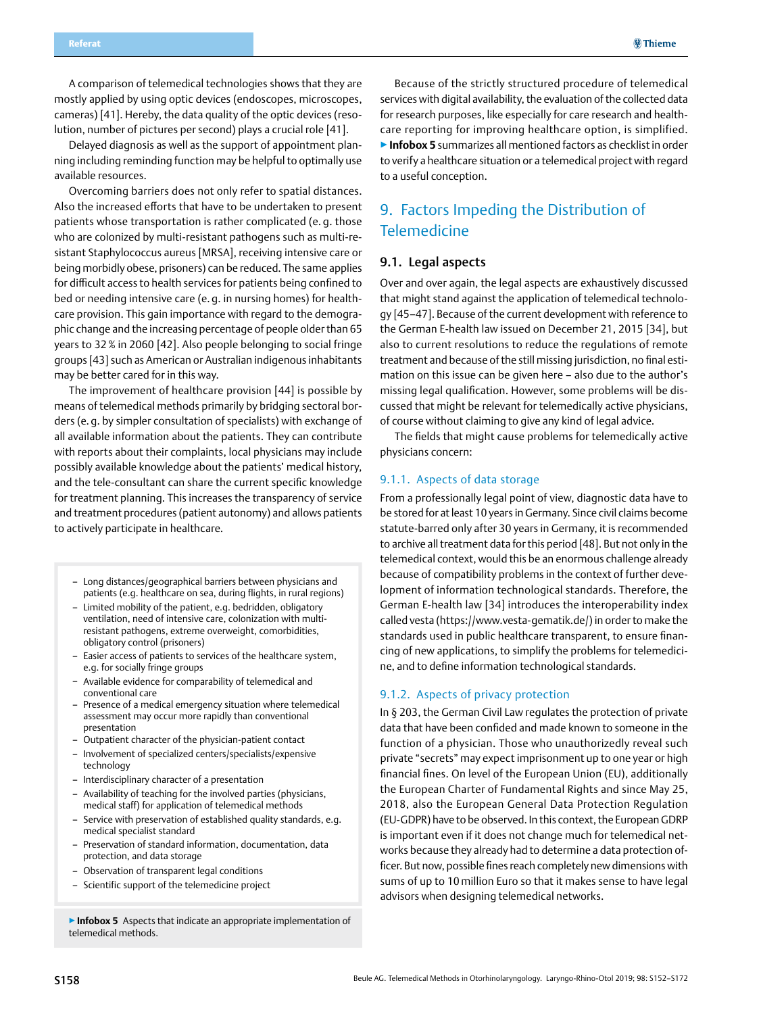<span id="page-6-0"></span>A comparison of telemedical technologies shows that they are mostly applied by using optic devices (endoscopes, microscopes, cameras) [41]. Hereby, the data quality of the optic devices (resolution, number of pictures per second) plays a crucial role [41].

Delayed diagnosis as well as the support of appointment planning including reminding function may be helpful to optimally use available resources.

Overcoming barriers does not only refer to spatial distances. Also the increased efforts that have to be undertaken to present patients whose transportation is rather complicated (e. g. those who are colonized by multi-resistant pathogens such as multi-resistant Staphylococcus aureus [MRSA], receiving intensive care or being morbidly obese, prisoners) can be reduced. The same applies for difficult access to health services for patients being confined to bed or needing intensive care (e. g. in nursing homes) for healthcare provision. This gain importance with regard to the demographic change and the increasing percentage of people older than 65 years to 32% in 2060 [42]. Also people belonging to social fringe groups [43] such as American or Australian indigenous inhabitants may be better cared for in this way.

The improvement of healthcare provision [44] is possible by means of telemedical methods primarily by bridging sectoral borders (e. g. by simpler consultation of specialists) with exchange of all available information about the patients. They can contribute with reports about their complaints, local physicians may include possibly available knowledge about the patients' medical history, and the tele-consultant can share the current specific knowledge for treatment planning. This increases the transparency of service and treatment procedures (patient autonomy) and allows patients to actively participate in healthcare.

- Long distances/geographical barriers between physicians and patients (e.g. healthcare on sea, during flights, in rural regions)
- Limited mobility of the patient, e.g. bedridden, obligatory ventilation, need of intensive care, colonization with multiresistant pathogens, extreme overweight, comorbidities, obligatory control (prisoners)
- Easier access of patients to services of the healthcare system, e.g. for socially fringe groups
- Available evidence for comparability of telemedical and conventional care
- Presence of a medical emergency situation where telemedical assessment may occur more rapidly than conventional presentation
- Outpatient character of the physician-patient contact
- Involvement of specialized centers/specialists/expensive technology
- Interdisciplinary character of a presentation
- Availability of teaching for the involved parties (physicians, medical staff) for application of telemedical methods
- Service with preservation of established quality standards, e.g. medical specialist standard
- Preservation of standard information, documentation, data protection, and data storage
- Observation of transparent legal conditions
- Scientific support of the telemedicine project
- ▶**Infobox 5** Aspects that indicate an appropriate implementation of telemedical methods.

Because of the strictly structured procedure of telemedical services with digital availability, the evaluation of the collected data for research purposes, like especially for care research and healthcare reporting for improving healthcare option, is simplified. ▶**Infobox 5** summarizes all mentioned factors as checklist in order to verify a healthcare situation or a telemedical project with regard to a useful conception.

## 9. Factors Impeding the Distribution of **Telemedicine**

### 9.1. Legal aspects

Over and over again, the legal aspects are exhaustively discussed that might stand against the application of telemedical technology [45–47]. Because of the current development with reference to the German E-health law issued on December 21, 2015 [34], but also to current resolutions to reduce the regulations of remote treatment and because of the still missing jurisdiction, no final estimation on this issue can be given here – also due to the author's missing legal qualification. However, some problems will be discussed that might be relevant for telemedically active physicians, of course without claiming to give any kind of legal advice.

The fields that might cause problems for telemedically active physicians concern:

### 9.1.1. Aspects of data storage

From a professionally legal point of view, diagnostic data have to be stored for at least 10 years in Germany. Since civil claims become statute-barred only after 30 years in Germany, it is recommended to archive all treatment data for this period [48]. But not only in the telemedical context, would this be an enormous challenge already because of compatibility problems in the context of further development of information technological standards. Therefore, the German E-health law [34] introduces the interoperability index called vesta (https://www.vesta-gematik.de/) in order to make the standards used in public healthcare transparent, to ensure financing of new applications, to simplify the problems for telemedicine, and to define information technological standards.

#### 9.1.2. Aspects of privacy protection

In § 203, the German Civil Law regulates the protection of private data that have been confided and made known to someone in the function of a physician. Those who unauthorizedly reveal such private "secrets" may expect imprisonment up to one year or high financial fines. On level of the European Union (EU), additionally the European Charter of Fundamental Rights and since May 25, 2018, also the European General Data Protection Regulation (EU-GDPR) have to be observed. In this context, the European GDRP is important even if it does not change much for telemedical networks because they already had to determine a data protection officer. But now, possible fines reach completely new dimensions with sums of up to 10 million Euro so that it makes sense to have legal advisors when designing telemedical networks.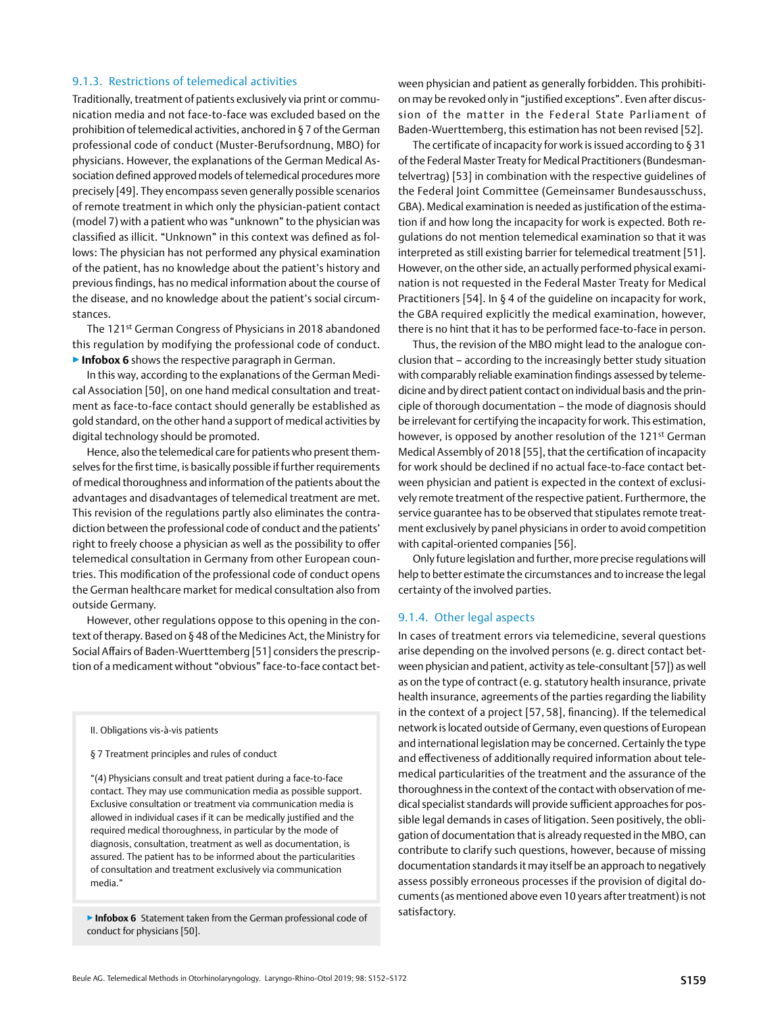### <span id="page-7-0"></span>9.1.3. Restrictions of telemedical activities

Traditionally, treatment of patients exclusively via print or communication media and not face-to-face was excluded based on the prohibition of telemedical activities, anchored in § 7 of the German professional code of conduct (Muster-Berufsordnung, MBO) for physicians. However, the explanations of the German Medical Association defined approved models of telemedical procedures more precisely [49]. They encompass seven generally possible scenarios of remote treatment in which only the physician-patient contact (model 7) with a patient who was "unknown" to the physician was classified as illicit. "Unknown" in this context was defined as follows: The physician has not performed any physical examination of the patient, has no knowledge about the patient's history and previous findings, has no medical information about the course of the disease, and no knowledge about the patient's social circumstances.

The 121st German Congress of Physicians in 2018 abandoned this regulation by modifying the professional code of conduct. ▶**Infobox 6** shows the respective paragraph in German.

In this way, according to the explanations of the German Medical Association [50], on one hand medical consultation and treatment as face-to-face contact should generally be established as gold standard, on the other hand a support of medical activities by digital technology should be promoted.

Hence, also the telemedical care for patients who present themselves for the first time, is basically possible if further requirements of medical thoroughness and information of the patients about the advantages and disadvantages of telemedical treatment are met. This revision of the regulations partly also eliminates the contradiction between the professional code of conduct and the patients' right to freely choose a physician as well as the possibility to offer telemedical consultation in Germany from other European countries. This modification of the professional code of conduct opens the German healthcare market for medical consultation also from outside Germany.

However, other regulations oppose to this opening in the context of therapy. Based on § 48 of the Medicines Act, the Ministry for Social Affairs of Baden-Wuerttemberg [51] considers the prescription of a medicament without "obvious" face-to-face contact bet-

II. Obligations vis-à-vis patients

§ 7 Treatment principles and rules of conduct

"(4) Physicians consult and treat patient during a face-to-face contact. They may use communication media as possible support. Exclusive consultation or treatment via communication media is allowed in individual cases if it can be medically justified and the required medical thoroughness, in particular by the mode of diagnosis, consultation, treatment as well as documentation, is assured. The patient has to be informed about the particularities of consultation and treatment exclusively via communication media."

satisfactory. ▶**Infobox 6** Statement taken from the German professional code of conduct for physicians [50].

ween physician and patient as generally forbidden. This prohibition may be revoked only in "justified exceptions". Even after discussion of the matter in the Federal State Parliament of Baden-Wuerttemberg, this estimation has not been revised [52].

The certificate of incapacity for work is issued according to § 31 of the Federal Master Treaty for Medical Practitioners (Bundesmantelvertrag) [53] in combination with the respective guidelines of the Federal Joint Committee (Gemeinsamer Bundesausschuss, GBA). Medical examination is needed as justification of the estimation if and how long the incapacity for work is expected. Both regulations do not mention telemedical examination so that it was interpreted as still existing barrier for telemedical treatment [51]. However, on the other side, an actually performed physical examination is not requested in the Federal Master Treaty for Medical Practitioners [54]. In § 4 of the quideline on incapacity for work, the GBA required explicitly the medical examination, however, there is no hint that it has to be performed face-to-face in person.

Thus, the revision of the MBO might lead to the analogue conclusion that – according to the increasingly better study situation with comparably reliable examination findings assessed by telemedicine and by direct patient contact on individual basis and the principle of thorough documentation – the mode of diagnosis should be irrelevant for certifying the incapacity for work. This estimation, however, is opposed by another resolution of the 121st German Medical Assembly of 2018 [55], that the certification of incapacity for work should be declined if no actual face-to-face contact between physician and patient is expected in the context of exclusively remote treatment of the respective patient. Furthermore, the service guarantee has to be observed that stipulates remote treatment exclusively by panel physicians in order to avoid competition with capital-oriented companies [56].

Only future legislation and further, more precise regulations will help to better estimate the circumstances and to increase the legal certainty of the involved parties.

### 9.1.4. Other legal aspects

In cases of treatment errors via telemedicine, several questions arise depending on the involved persons (e. g. direct contact between physician and patient, activity as tele-consultant [57]) as well as on the type of contract (e. g. statutory health insurance, private health insurance, agreements of the parties regarding the liability in the context of a project [57, 58], financing). If the telemedical network is located outside of Germany, even questions of European and international legislation may be concerned. Certainly the type and effectiveness of additionally required information about telemedical particularities of the treatment and the assurance of the thoroughness in the context of the contact with observation of medical specialist standards will provide sufficient approaches for possible legal demands in cases of litigation. Seen positively, the obligation of documentation that is already requested in the MBO, can contribute to clarify such questions, however, because of missing documentation standards it may itself be an approach to negatively assess possibly erroneous processes if the provision of digital documents (as mentioned above even 10 years after treatment) is not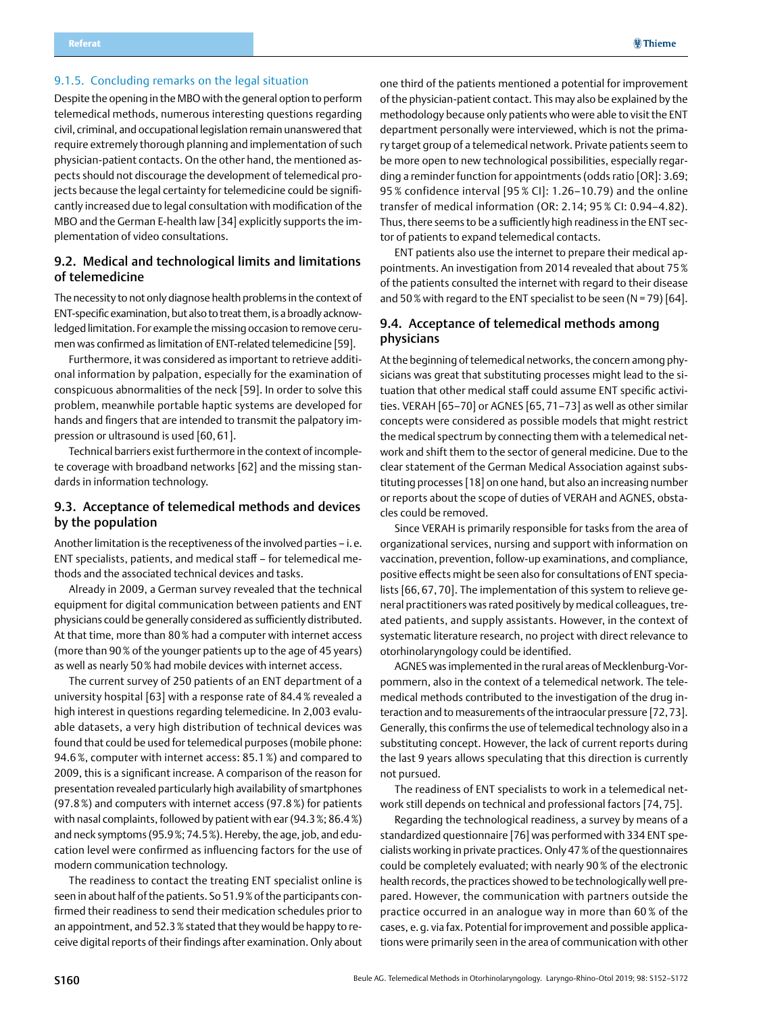### <span id="page-8-0"></span>9.1.5. Concluding remarks on the legal situation

Despite the opening in the MBO with the general option to perform telemedical methods, numerous interesting questions regarding civil, criminal, and occupational legislation remain unanswered that require extremely thorough planning and implementation of such physician-patient contacts. On the other hand, the mentioned aspects should not discourage the development of telemedical projects because the legal certainty for telemedicine could be significantly increased due to legal consultation with modification of the MBO and the German E-health law [34] explicitly supports the implementation of video consultations.

### 9.2. Medical and technological limits and limitations of telemedicine

The necessity to not only diagnose health problems in the context of ENT-specific examination, but also to treat them, is a broadly acknowledged limitation. For example the missing occasion to remove cerumen was confirmed as limitation of ENT-related telemedicine [59].

Furthermore, it was considered as important to retrieve additional information by palpation, especially for the examination of conspicuous abnormalities of the neck [59]. In order to solve this problem, meanwhile portable haptic systems are developed for hands and fingers that are intended to transmit the palpatory impression or ultrasound is used [60, 61].

Technical barriers exist furthermore in the context of incomplete coverage with broadband networks [62] and the missing standards in information technology.

### 9.3. Acceptance of telemedical methods and devices by the population

Another limitation is the receptiveness of the involved parties – i.e. ENT specialists, patients, and medical staff – for telemedical methods and the associated technical devices and tasks.

Already in 2009, a German survey revealed that the technical equipment for digital communication between patients and ENT physicians could be generally considered as sufficiently distributed. At that time, more than 80% had a computer with internet access (more than 90% of the younger patients up to the age of 45 years) as well as nearly 50% had mobile devices with internet access.

The current survey of 250 patients of an ENT department of a university hospital [63] with a response rate of 84.4% revealed a high interest in questions regarding telemedicine. In 2,003 evaluable datasets, a very high distribution of technical devices was found that could be used for telemedical purposes (mobile phone: 94.6%, computer with internet access: 85.1%) and compared to 2009, this is a significant increase. A comparison of the reason for presentation revealed particularly high availability of smartphones (97.8%) and computers with internet access (97.8%) for patients with nasal complaints, followed by patient with ear (94.3%; 86.4%) and neck symptoms (95.9%; 74.5%). Hereby, the age, job, and education level were confirmed as influencing factors for the use of modern communication technology.

The readiness to contact the treating ENT specialist online is seen in about half of the patients. So 51.9% of the participants confirmed their readiness to send their medication schedules prior to an appointment, and 52.3% stated that they would be happy to receive digital reports of their findings after examination. Only about

one third of the patients mentioned a potential for improvement of the physician-patient contact. This may also be explained by the methodology because only patients who were able to visit the ENT department personally were interviewed, which is not the primary target group of a telemedical network. Private patients seem to be more open to new technological possibilities, especially regarding a reminder function for appointments (odds ratio [OR]: 3.69; 95 % confidence interval [95 % CI]: 1.26–10.79) and the online transfer of medical information (OR: 2.14; 95 % CI: 0.94–4.82). Thus, there seems to be a sufficiently high readiness in the ENT sector of patients to expand telemedical contacts.

ENT patients also use the internet to prepare their medical appointments. An investigation from 2014 revealed that about 75% of the patients consulted the internet with regard to their disease and 50% with regard to the ENT specialist to be seen (N = 79) [64].

## 9.4. Acceptance of telemedical methods among physicians

At the beginning of telemedical networks, the concern among physicians was great that substituting processes might lead to the situation that other medical staff could assume ENT specific activities. VERAH [65–70] or AGNES [65, 71–73] as well as other similar concepts were considered as possible models that might restrict the medical spectrum by connecting them with a telemedical network and shift them to the sector of general medicine. Due to the clear statement of the German Medical Association against substituting processes [18] on one hand, but also an increasing number or reports about the scope of duties of VERAH and AGNES, obstacles could be removed.

Since VERAH is primarily responsible for tasks from the area of organizational services, nursing and support with information on vaccination, prevention, follow-up examinations, and compliance, positive effects might be seen also for consultations of ENT specialists [66, 67, 70]. The implementation of this system to relieve general practitioners was rated positively by medical colleagues, treated patients, and supply assistants. However, in the context of systematic literature research, no project with direct relevance to otorhinolaryngology could be identified.

AGNES was implemented in the rural areas of Mecklenburg-Vorpommern, also in the context of a telemedical network. The telemedical methods contributed to the investigation of the drug interaction and to measurements of the intraocular pressure [72,73]. Generally, this confirms the use of telemedical technology also in a substituting concept. However, the lack of current reports during the last 9 years allows speculating that this direction is currently not pursued.

The readiness of ENT specialists to work in a telemedical network still depends on technical and professional factors [74, 75].

Regarding the technological readiness, a survey by means of a standardized questionnaire [76] was performed with 334 ENT specialists working in private practices. Only 47% of the questionnaires could be completely evaluated; with nearly 90% of the electronic health records, the practices showed to be technologically well prepared. However, the communication with partners outside the practice occurred in an analogue way in more than 60 % of the cases, e.g. via fax. Potential for improvement and possible applications were primarily seen in the area of communication with other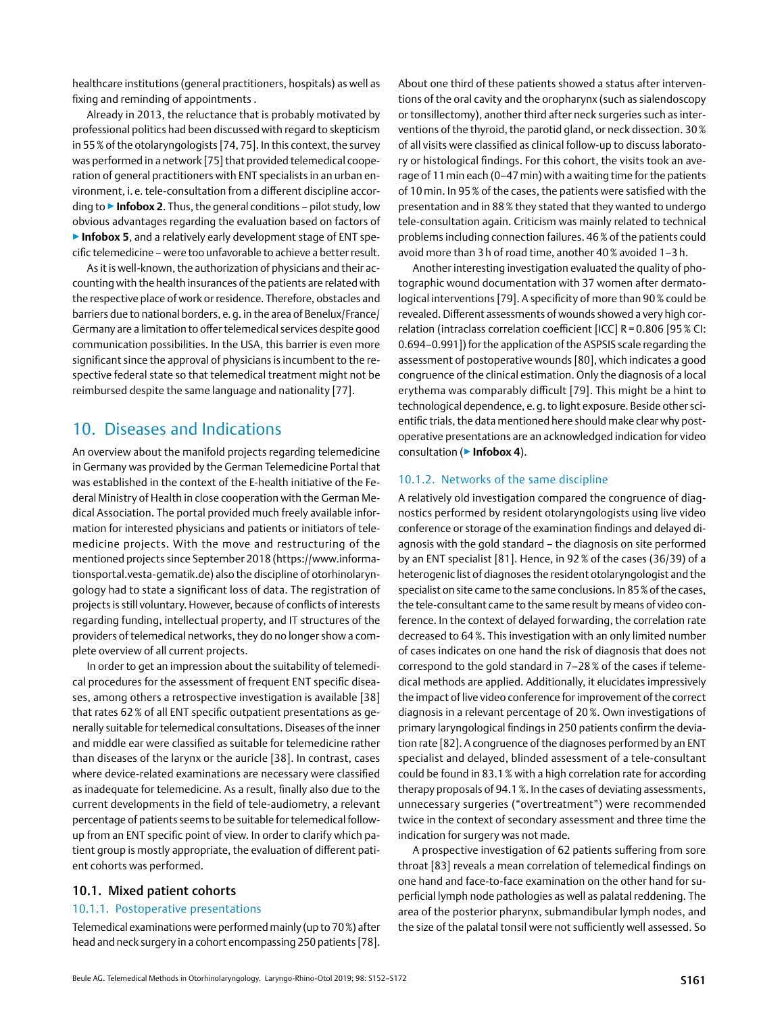<span id="page-9-0"></span>healthcare institutions (general practitioners, hospitals) as well as fixing and reminding of appointments .

Already in 2013, the reluctance that is probably motivated by professional politics had been discussed with regard to skepticism in 55% of the otolaryngologists [74,75]. In this context, the survey was performed in a network [75] that provided telemedical cooperation of general practitioners with ENT specialists in an urban environment, i. e. tele-consultation from a different discipline according to ▶**Infobox 2**. Thus, the general conditions – pilot study, low obvious advantages regarding the evaluation based on factors of ▶**Infobox 5**, and a relatively early development stage of ENT specific telemedicine – were too unfavorable to achieve a betterresult.

As it is well-known, the authorization of physicians and their accounting with the health insurances of the patients are related with the respective place of work or residence. Therefore, obstacles and barriers due to national borders, e.g. in the area of Benelux/France/ Germany are a limitation to offertelemedical services despite good communication possibilities. In the USA, this barrier is even more significant since the approval of physicians is incumbent to the respective federal state so that telemedical treatment might not be reimbursed despite the same language and nationality [77].

## 10. Diseases and Indications

An overview about the manifold projects regarding telemedicine in Germany was provided by the German Telemedicine Portal that was established in the context of the E-health initiative of the Federal Ministry of Health in close cooperation with the German Medical Association. The portal provided much freely available information for interested physicians and patients or initiators of telemedicine projects. With the move and restructuring of the mentioned projects since September 2018 (https://www.informationsportal.vesta-gematik.de) also the discipline of otorhinolaryngology had to state a significant loss of data. The registration of projects is still voluntary. However, because of conflicts of interests regarding funding, intellectual property, and IT structures of the providers of telemedical networks, they do no longer show a complete overview of all current projects.

In order to get an impression about the suitability of telemedical procedures for the assessment of frequent ENT specific diseases, among others a retrospective investigation is available [38] that rates 62% of all ENT specific outpatient presentations as generally suitable for telemedical consultations. Diseases of the inner and middle ear were classified as suitable for telemedicine rather than diseases of the larynx or the auricle [38]. In contrast, cases where device-related examinations are necessary were classified as inadequate for telemedicine. As a result, finally also due to the current developments in the field of tele-audiometry, a relevant percentage of patients seems to be suitable for telemedical followup from an ENT specific point of view. In order to clarify which patient group is mostly appropriate, the evaluation of different patient cohorts was performed.

### 10.1. Mixed patient cohorts

### 10.1.1. Postoperative presentations

Telemedical examinations were performed mainly (up to 70%) after head and neck surgery in a cohort encompassing 250 patients [78]. About one third of these patients showed a status after interventions of the oral cavity and the oropharynx (such as sialendoscopy or tonsillectomy), another third after neck surgeries such as interventions of the thyroid, the parotid gland, or neck dissection. 30% of all visits were classified as clinical follow-up to discuss laboratory or histological findings. For this cohort, the visits took an average of 11min each (0–47min) with a waiting time for the patients of 10min. In 95% of the cases, the patients were satisfied with the presentation and in 88% they stated that they wanted to undergo tele-consultation again. Criticism was mainly related to technical problems including connection failures. 46% of the patients could avoid more than 3 h of road time, another 40% avoided 1–3 h.

Another interesting investigation evaluated the quality of photographic wound documentation with 37 women after dermatological interventions [79]. A specificity of more than 90% could be revealed. Different assessments of wounds showed a very high correlation (intraclass correlation coefficient [ICC] R = 0.806 [95% CI: 0.694–0.991]) for the application of the ASPSIS scale regarding the assessment of postoperative wounds [80], which indicates a good congruence of the clinical estimation. Only the diagnosis of a local erythema was comparably difficult [79]. This might be a hint to technological dependence, e.g. to light exposure. Beside other scientific trials, the data mentioned here should make clear why postoperative presentations are an acknowledged indication for video consultation (▶**Infobox 4**).

### 10.1.2. Networks of the same discipline

A relatively old investigation compared the congruence of diagnostics performed by resident otolaryngologists using live video conference or storage of the examination findings and delayed diagnosis with the gold standard – the diagnosis on site performed by an ENT specialist [81]. Hence, in 92% of the cases (36/39) of a heterogenic list of diagnoses the resident otolaryngologist and the specialist on site came to the same conclusions. In 85% of the cases, the tele-consultant came to the same result by means of video conference. In the context of delayed forwarding, the correlation rate decreased to 64%. This investigation with an only limited number of cases indicates on one hand the risk of diagnosis that does not correspond to the gold standard in 7–28% of the cases if telemedical methods are applied. Additionally, it elucidates impressively the impact of live video conference for improvement of the correct diagnosis in a relevant percentage of 20%. Own investigations of primary laryngological findings in 250 patients confirm the deviation rate [82]. A congruence of the diagnoses performed by an ENT specialist and delayed, blinded assessment of a tele-consultant could be found in 83.1% with a high correlation rate for according therapy proposals of 94.1%. In the cases of deviating assessments, unnecessary surgeries ("overtreatment") were recommended twice in the context of secondary assessment and three time the indication for surgery was not made.

A prospective investigation of 62 patients suffering from sore throat [83] reveals a mean correlation of telemedical findings on one hand and face-to-face examination on the other hand for superficial lymph node pathologies as well as palatal reddening. The area of the posterior pharynx, submandibular lymph nodes, and the size of the palatal tonsil were not sufficiently well assessed. So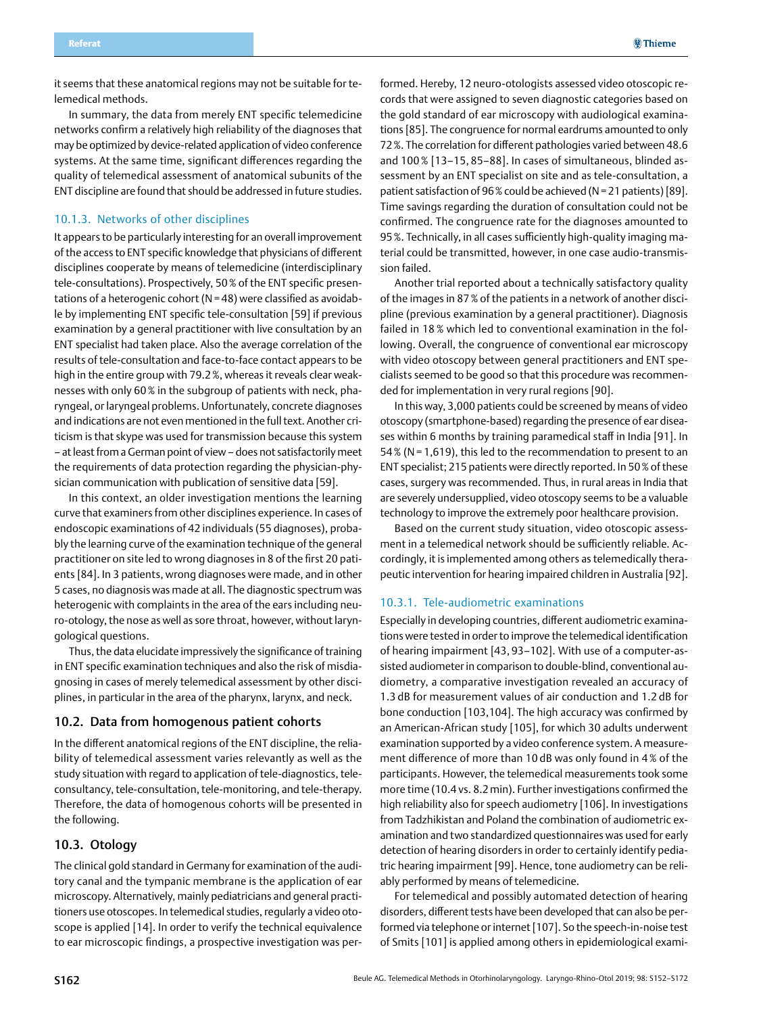<span id="page-10-0"></span>it seems that these anatomical regions may not be suitable for telemedical methods.

In summary, the data from merely ENT specific telemedicine networks confirm a relatively high reliability of the diagnoses that may be optimized by device-related application of video conference systems. At the same time, significant differences regarding the quality of telemedical assessment of anatomical subunits of the ENT discipline are found that should be addressed in future studies.

### 10.1.3. Networks of other disciplines

It appears to be particularly interesting for an overall improvement ofthe access to ENT specific knowledge that physicians of different disciplines cooperate by means of telemedicine (interdisciplinary tele-consultations). Prospectively, 50% of the ENT specific presentations of a heterogenic cohort (N=48) were classified as avoidable by implementing ENT specific tele-consultation [59] if previous examination by a general practitioner with live consultation by an ENT specialist had taken place. Also the average correlation of the results of tele-consultation and face-to-face contact appears to be high in the entire group with 79.2%, whereas it reveals clear weaknesses with only 60% in the subgroup of patients with neck, pharyngeal, or laryngeal problems. Unfortunately, concrete diagnoses and indications are not even mentioned in the full text. Another criticism is that skype was used for transmission because this system – at least from a German point of view – does not satisfactorily meet the requirements of data protection regarding the physician-physician communication with publication of sensitive data [59].

In this context, an older investigation mentions the learning curve that examiners from other disciplines experience. In cases of endoscopic examinations of 42 individuals (55 diagnoses), probably the learning curve of the examination technique of the general practitioner on site led to wrong diagnoses in 8 of the first 20 patients [84]. In 3 patients, wrong diagnoses were made, and in other 5 cases, no diagnosis was made at all. The diagnostic spectrum was heterogenic with complaints in the area of the ears including neuro-otology, the nose as well as sore throat, however, without laryngological questions.

Thus, the data elucidate impressively the significance of training in ENT specific examination techniques and also the risk of misdiagnosing in cases of merely telemedical assessment by other disciplines, in particular in the area of the pharynx, larynx, and neck.

#### 10.2. Data from homogenous patient cohorts

In the different anatomical regions of the ENT discipline, the reliability of telemedical assessment varies relevantly as well as the study situation with regard to application of tele-diagnostics, teleconsultancy, tele-consultation, tele-monitoring, and tele-therapy. Therefore, the data of homogenous cohorts will be presented in the following.

### 10.3. Otology

The clinical gold standard in Germany for examination of the auditory canal and the tympanic membrane is the application of ear microscopy. Alternatively, mainly pediatricians and general practitioners use otoscopes. In telemedical studies, regularly a video otoscope is applied [14]. In order to verify the technical equivalence to ear microscopic findings, a prospective investigation was performed. Hereby, 12 neuro-otologists assessed video otoscopic records that were assigned to seven diagnostic categories based on the gold standard of ear microscopy with audiological examinations [85]. The congruence for normal eardrums amounted to only 72%. The correlation for different pathologies varied between 48.6 and 100 % [13–15, 85–88]. In cases of simultaneous, blinded assessment by an ENT specialist on site and as tele-consultation, a patient satisfaction of 96% could be achieved (N=21 patients) [89]. Time savings regarding the duration of consultation could not be confirmed. The congruence rate for the diagnoses amounted to 95%. Technically, in all cases sufficiently high-quality imaging material could be transmitted, however, in one case audio-transmission failed.

Another trial reported about a technically satisfactory quality of the images in 87% of the patients in a network of another discipline (previous examination by a general practitioner). Diagnosis failed in 18 % which led to conventional examination in the following. Overall, the congruence of conventional ear microscopy with video otoscopy between general practitioners and ENT specialists seemed to be good so that this procedure was recommended for implementation in very rural regions [90].

In this way, 3,000 patients could be screened by means of video otoscopy (smartphone-based) regarding the presence of ear diseases within 6 months by training paramedical staff in India [91]. In 54% (N= 1,619), this led to the recommendation to present to an ENT specialist; 215 patients were directly reported. In 50% of these cases, surgery was recommended. Thus, in rural areas in India that are severely undersupplied, video otoscopy seems to be a valuable technology to improve the extremely poor healthcare provision.

Based on the current study situation, video otoscopic assessment in a telemedical network should be sufficiently reliable. Accordingly, it is implemented among others as telemedically therapeutic intervention for hearing impaired children in Australia [92].

### 10.3.1. Tele-audiometric examinations

Especially in developing countries, different audiometric examinations were tested in order to improve the telemedical identification of hearing impairment [43, 93–102]. With use of a computer-assisted audiometer in comparison to double-blind, conventional audiometry, a comparative investigation revealed an accuracy of 1.3 dB for measurement values of air conduction and 1.2 dB for bone conduction [103,104]. The high accuracy was confirmed by an American-African study [105], for which 30 adults underwent examination supported by a video conference system. A measurement difference of more than 10 dB was only found in 4 % of the participants. However, the telemedical measurements took some more time (10.4 vs. 8.2min). Further investigations confirmed the high reliability also for speech audiometry [106]. In investigations from Tadzhikistan and Poland the combination of audiometric examination and two standardized questionnaires was used for early detection of hearing disorders in order to certainly identify pediatric hearing impairment [99]. Hence, tone audiometry can be reliably performed by means of telemedicine.

For telemedical and possibly automated detection of hearing disorders, different tests have been developed that can also be performed via telephone or internet [107]. So the speech-in-noise test of Smits [101] is applied among others in epidemiological exami-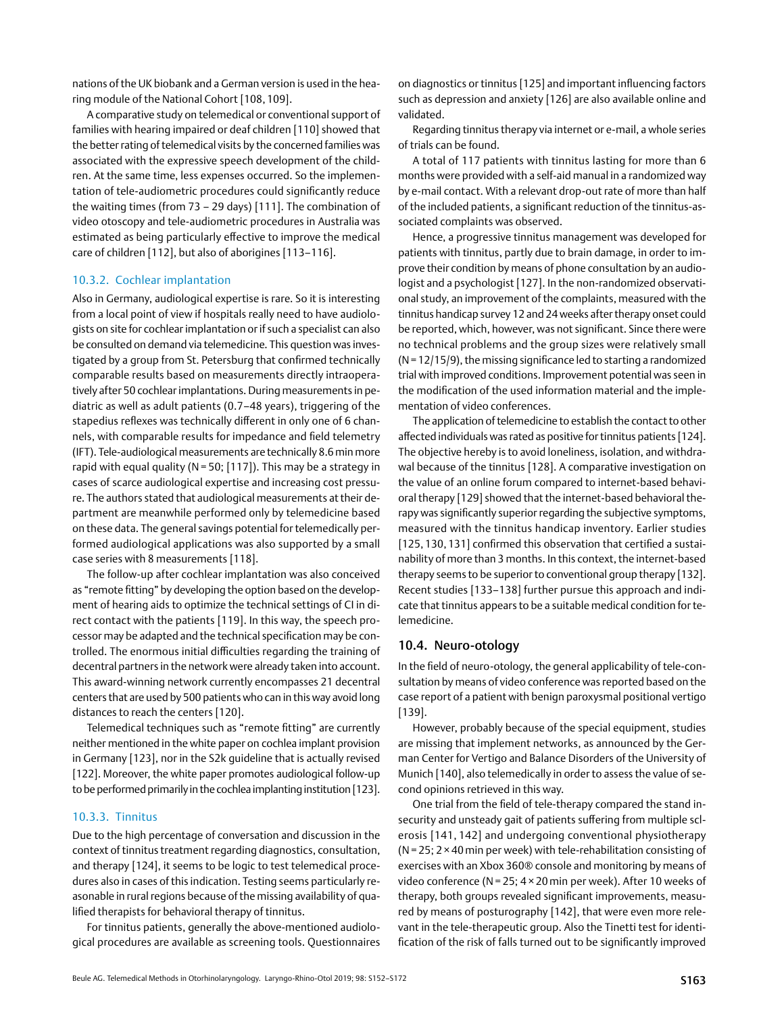<span id="page-11-0"></span>nations of the UK biobank and a German version is used in the hearing module of the National Cohort [108, 109].

A comparative study on telemedical or conventional support of families with hearing impaired or deaf children [110] showed that the better rating of telemedical visits by the concerned families was associated with the expressive speech development of the children. At the same time, less expenses occurred. So the implementation of tele-audiometric procedures could significantly reduce the waiting times (from 73 – 29 days) [111]. The combination of video otoscopy and tele-audiometric procedures in Australia was estimated as being particularly effective to improve the medical care of children [112], but also of aborigines [113–116].

### 10.3.2. Cochlear implantation

Also in Germany, audiological expertise is rare. So it is interesting from a local point of view if hospitals really need to have audiologists on site for cochlear implantation or if such a specialist can also be consulted on demand via telemedicine. This question was investigated by a group from St. Petersburg that confirmed technically comparable results based on measurements directly intraoperatively after 50 cochlear implantations. During measurements in pediatric as well as adult patients (0.7–48 years), triggering of the stapedius reflexes was technically different in only one of 6 channels, with comparable results for impedance and field telemetry (IFT). Tele-audiological measurements are technically 8.6min more rapid with equal quality (N= 50; [117]). This may be a strategy in cases of scarce audiological expertise and increasing cost pressure. The authors stated that audiological measurements at their department are meanwhile performed only by telemedicine based on these data. The general savings potential for telemedically performed audiological applications was also supported by a small case series with 8 measurements [118].

The follow-up after cochlear implantation was also conceived as "remote fitting" by developing the option based on the development of hearing aids to optimize the technical settings of CI in direct contact with the patients [119]. In this way, the speech processor may be adapted and the technical specification may be controlled. The enormous initial difficulties regarding the training of decentral partners in the network were already taken into account. This award-winning network currently encompasses 21 decentral centers that are used by 500 patients who can in this way avoid long distances to reach the centers [120].

Telemedical techniques such as "remote fitting" are currently neither mentioned in the white paper on cochlea implant provision in Germany [123], nor in the S2k guideline that is actually revised [122]. Moreover, the white paper promotes audiological follow-up to be performed primarily in the cochlea implanting institution [123].

### 10.3.3. Tinnitus

Due to the high percentage of conversation and discussion in the context of tinnitus treatment regarding diagnostics, consultation, and therapy [124], it seems to be logic to test telemedical procedures also in cases of this indication. Testing seems particularly reasonable in rural regions because of the missing availability of qualified therapists for behavioral therapy of tinnitus.

For tinnitus patients, generally the above-mentioned audiological procedures are available as screening tools. Questionnaires on diagnostics or tinnitus [125] and important influencing factors such as depression and anxiety [126] are also available online and validated.

Regarding tinnitus therapy via internet or e-mail, a whole series of trials can be found.

A total of 117 patients with tinnitus lasting for more than 6 months were provided with a self-aid manual in a randomized way by e-mail contact. With a relevant drop-out rate of more than half of the included patients, a significant reduction of the tinnitus-associated complaints was observed.

Hence, a progressive tinnitus management was developed for patients with tinnitus, partly due to brain damage, in order to improve their condition by means of phone consultation by an audiologist and a psychologist [127]. In the non-randomized observational study, an improvement of the complaints, measured with the tinnitus handicap survey 12 and 24 weeks after therapy onset could be reported, which, however, was not significant. Since there were no technical problems and the group sizes were relatively small  $(N=12/15/9)$ , the missing significance led to starting a randomized trial with improved conditions. Improvement potential was seen in the modification of the used information material and the implementation of video conferences.

The application of telemedicine to establish the contact to other affected individuals was rated as positive for tinnitus patients [124]. The objective hereby is to avoid loneliness, isolation, and withdrawal because of the tinnitus [128]. A comparative investigation on the value of an online forum compared to internet-based behavioral therapy [129] showed that the internet-based behavioral therapy was significantly superior regarding the subjective symptoms, measured with the tinnitus handicap inventory. Earlier studies [125, 130, 131] confirmed this observation that certified a sustainability of more than 3 months. In this context, the internet-based therapy seems to be superior to conventional group therapy [132]. Recent studies [133–138] further pursue this approach and indicate that tinnitus appears to be a suitable medical condition for telemedicine.

### 10.4. Neuro-otology

In the field of neuro-otology, the general applicability of tele-consultation by means of video conference was reported based on the case report of a patient with benign paroxysmal positional vertigo [139].

However, probably because of the special equipment, studies are missing that implement networks, as announced by the German Center for Vertigo and Balance Disorders of the University of Munich [140], also telemedically in order to assess the value of second opinions retrieved in this way.

One trial from the field of tele-therapy compared the stand insecurity and unsteady gait of patients suffering from multiple sclerosis [141, 142] and undergoing conventional physiotherapy ( $N = 25$ ; 2 × 40 min per week) with tele-rehabilitation consisting of exercises with an Xbox 360® console and monitoring by means of video conference (N= 25; 4 × 20 min per week). After 10 weeks of therapy, both groups revealed significant improvements, measured by means of posturography [142], that were even more relevant in the tele-therapeutic group. Also the Tinetti test for identification of the risk of falls turned out to be significantly improved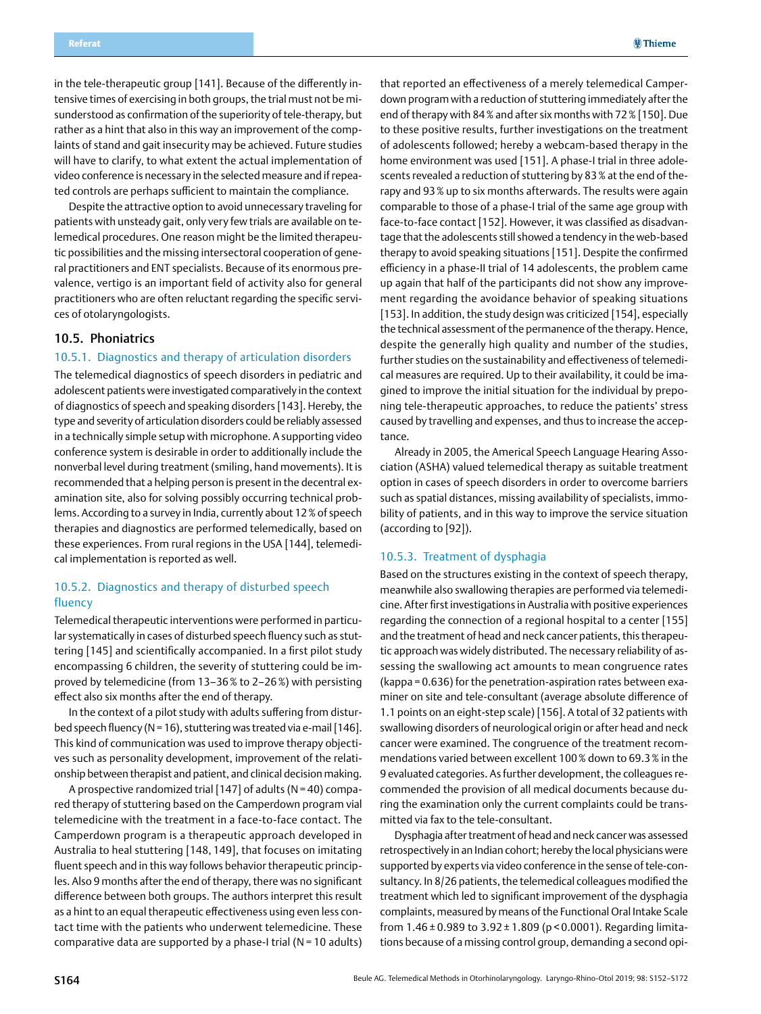<span id="page-12-0"></span>in the tele-therapeutic group [141]. Because of the differently intensive times of exercising in both groups, the trial must not be misunderstood as confirmation of the superiority of tele-therapy, but rather as a hint that also in this way an improvement of the complaints of stand and gait insecurity may be achieved. Future studies will have to clarify, to what extent the actual implementation of video conference is necessary in the selected measure and if repeated controls are perhaps sufficient to maintain the compliance.

Despite the attractive option to avoid unnecessary traveling for patients with unsteady gait, only very few trials are available on telemedical procedures. One reason might be the limited therapeutic possibilities and the missing intersectoral cooperation of general practitioners and ENT specialists. Because of its enormous prevalence, vertigo is an important field of activity also for general practitioners who are often reluctant regarding the specific services of otolaryngologists.

### 10.5. Phoniatrics

#### 10.5.1. Diagnostics and therapy of articulation disorders

The telemedical diagnostics of speech disorders in pediatric and adolescent patients were investigated comparatively in the context of diagnostics of speech and speaking disorders [143]. Hereby, the type and severity of articulation disorders could be reliably assessed in a technically simple setup with microphone. A supporting video conference system is desirable in order to additionally include the nonverbal level during treatment (smiling, hand movements). It is recommended that a helping person is present in the decentral examination site, also for solving possibly occurring technical problems. According to a survey in India, currently about 12% of speech therapies and diagnostics are performed telemedically, based on these experiences. From rural regions in the USA [144], telemedical implementation is reported as well.

### 10.5.2. Diagnostics and therapy of disturbed speech fluency

Telemedical therapeutic interventions were performed in particular systematically in cases of disturbed speech fluency such as stuttering [145] and scientifically accompanied. In a first pilot study encompassing 6 children, the severity of stuttering could be improved by telemedicine (from 13–36% to 2–26%) with persisting effect also six months after the end of therapy.

In the context of a pilot study with adults suffering from disturbed speech fluency (N = 16), stuttering was treated via e-mail [146]. This kind of communication was used to improve therapy objectives such as personality development, improvement of the relationship between therapist and patient, and clinical decision making.

A prospective randomized trial [147] of adults ( $N = 40$ ) compared therapy of stuttering based on the Camperdown program vial telemedicine with the treatment in a face-to-face contact. The Camperdown program is a therapeutic approach developed in Australia to heal stuttering [148, 149], that focuses on imitating fluent speech and in this way follows behavior therapeutic principles. Also 9 months after the end of therapy, there was no significant difference between both groups. The authors interpret this result as a hint to an equal therapeutic effectiveness using even less contact time with the patients who underwent telemedicine. These comparative data are supported by a phase-I trial ( $N = 10$  adults)

that reported an effectiveness of a merely telemedical Camperdown program with a reduction of stuttering immediately after the end of therapy with 84% and after six months with 72% [150]. Due to these positive results, further investigations on the treatment of adolescents followed; hereby a webcam-based therapy in the home environment was used [151]. A phase-I trial in three adolescents revealed a reduction of stuttering by 83% at the end of therapy and 93% up to six months afterwards. The results were again comparable to those of a phase-I trial of the same age group with face-to-face contact [152]. However, it was classified as disadvantage that the adolescents still showed a tendency in the web-based therapy to avoid speaking situations [151]. Despite the confirmed efficiency in a phase-II trial of 14 adolescents, the problem came up again that half of the participants did not show any improvement regarding the avoidance behavior of speaking situations [153]. In addition, the study design was criticized [154], especially the technical assessment of the permanence of the therapy. Hence, despite the generally high quality and number of the studies, further studies on the sustainability and effectiveness of telemedical measures are required. Up to their availability, it could be imagined to improve the initial situation for the individual by preponing tele-therapeutic approaches, to reduce the patients' stress caused by travelling and expenses, and thus to increase the acceptance.

Already in 2005, the Americal Speech Language Hearing Association (ASHA) valued telemedical therapy as suitable treatment option in cases of speech disorders in order to overcome barriers such as spatial distances, missing availability of specialists, immobility of patients, and in this way to improve the service situation (according to [92]).

#### 10.5.3. Treatment of dysphagia

Based on the structures existing in the context of speech therapy, meanwhile also swallowing therapies are performed via telemedicine. After first investigations in Australia with positive experiences regarding the connection of a regional hospital to a center [155] and the treatment of head and neck cancer patients, this therapeutic approach was widely distributed. The necessary reliability of assessing the swallowing act amounts to mean congruence rates (kappa = 0.636) for the penetration-aspiration rates between examiner on site and tele-consultant (average absolute difference of 1.1 points on an eight-step scale) [156]. A total of 32 patients with swallowing disorders of neurological origin or after head and neck cancer were examined. The congruence of the treatment recommendations varied between excellent 100% down to 69.3% in the 9 evaluated categories. As further development, the colleagues recommended the provision of all medical documents because during the examination only the current complaints could be transmitted via fax to the tele-consultant.

Dysphagia after treatment of head and neck cancer was assessed retrospectively in an Indian cohort; hereby the local physicians were supported by experts via video conference in the sense of tele-consultancy. In 8/26 patients, the telemedical colleagues modified the treatment which led to significant improvement of the dysphagia complaints, measured by means of the Functional Oral Intake Scale from  $1.46 \pm 0.989$  to  $3.92 \pm 1.809$  (p < 0.0001). Regarding limitations because of a missing control group, demanding a second opi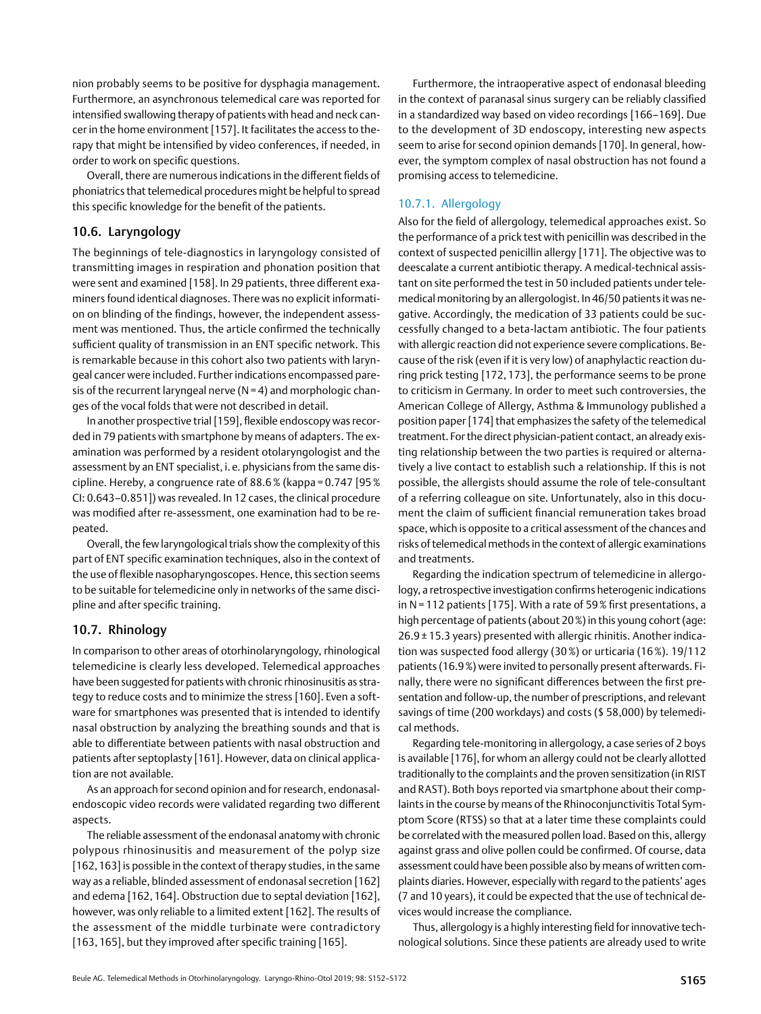<span id="page-13-0"></span>nion probably seems to be positive for dysphagia management. Furthermore, an asynchronous telemedical care was reported for intensified swallowing therapy of patients with head and neck cancer in the home environment [157]. It facilitates the access to therapy that might be intensified by video conferences, if needed, in order to work on specific questions.

Overall, there are numerous indications in the different fields of phoniatrics that telemedical procedures might be helpful to spread this specific knowledge for the benefit of the patients.

## 10.6. Laryngology

The beginnings of tele-diagnostics in laryngology consisted of transmitting images in respiration and phonation position that were sent and examined [158]. In 29 patients, three different examiners found identical diagnoses. There was no explicit information on blinding of the findings, however, the independent assessment was mentioned. Thus, the article confirmed the technically sufficient quality of transmission in an ENT specific network. This is remarkable because in this cohort also two patients with laryngeal cancer were included. Further indications encompassed paresis of the recurrent laryngeal nerve  $(N = 4)$  and morphologic changes of the vocal folds that were not described in detail.

In another prospective trial [159], flexible endoscopy was recorded in 79 patients with smartphone by means of adapters. The examination was performed by a resident otolaryngologist and the assessment by an ENT specialist, i. e. physicians from the same discipline. Hereby, a congruence rate of 88.6% (kappa = 0.747 [95% CI: 0.643–0.851]) was revealed. In 12 cases, the clinical procedure was modified after re-assessment, one examination had to be repeated.

Overall, the few laryngological trials show the complexity of this part of ENT specific examination techniques, also in the context of the use of flexible nasopharyngoscopes. Hence, this section seems to be suitable for telemedicine only in networks of the same discipline and after specific training.

### 10.7. Rhinology

In comparison to other areas of otorhinolaryngology, rhinological telemedicine is clearly less developed. Telemedical approaches have been suggested for patients with chronic rhinosinusitis as strategy to reduce costs and to minimize the stress [160]. Even a software for smartphones was presented that is intended to identify nasal obstruction by analyzing the breathing sounds and that is able to differentiate between patients with nasal obstruction and patients after septoplasty [161]. However, data on clinical application are not available.

As an approach for second opinion and for research, endonasalendoscopic video records were validated regarding two different aspects.

The reliable assessment of the endonasal anatomy with chronic polypous rhinosinusitis and measurement of the polyp size [162, 163] is possible in the context of therapy studies, in the same way as a reliable, blinded assessment of endonasal secretion [162] and edema [162, 164]. Obstruction due to septal deviation [162], however, was only reliable to a limited extent [162]. The results of the assessment of the middle turbinate were contradictory [163, 165], but they improved after specific training [165].

Furthermore, the intraoperative aspect of endonasal bleeding in the context of paranasal sinus surgery can be reliably classified in a standardized way based on video recordings [166–169]. Due to the development of 3D endoscopy, interesting new aspects seem to arise for second opinion demands [170]. In general, however, the symptom complex of nasal obstruction has not found a promising access to telemedicine.

## 10.7.1. Allergology

Also for the field of allergology, telemedical approaches exist. So the performance of a prick test with penicillin was described in the context of suspected penicillin allergy [171]. The objective was to deescalate a current antibiotic therapy. A medical-technical assistant on site performed the test in 50 included patients under telemedical monitoring by an allergologist. In 46/50 patients it was negative. Accordingly, the medication of 33 patients could be successfully changed to a beta-lactam antibiotic. The four patients with allergic reaction did not experience severe complications. Because of the risk (even if it is very low) of anaphylactic reaction during prick testing [172, 173], the performance seems to be prone to criticism in Germany. In order to meet such controversies, the American College of Allergy, Asthma & Immunology published a position paper [174] that emphasizes the safety of the telemedical treatment. For the direct physician-patient contact, an already existing relationship between the two parties is required or alternatively a live contact to establish such a relationship. If this is not possible, the allergists should assume the role of tele-consultant of a referring colleague on site. Unfortunately, also in this document the claim of sufficient financial remuneration takes broad space, which is opposite to a critical assessment of the chances and risks of telemedical methods in the context of allergic examinations and treatments.

Regarding the indication spectrum of telemedicine in allergology, a retrospective investigation confirms heterogenic indications in N= 112 patients [175]. With a rate of 59% first presentations, a high percentage of patients (about 20%) in this young cohort (age: 26.9 ± 15.3 years) presented with allergic rhinitis. Another indication was suspected food allergy (30%) or urticaria (16%). 19/112 patients (16.9%) were invited to personally present afterwards. Finally, there were no significant differences between the first presentation and follow-up, the number of prescriptions, and relevant savings of time (200 workdays) and costs (\$ 58,000) by telemedical methods.

Regarding tele-monitoring in allergology, a case series of 2 boys is available [176], for whom an allergy could not be clearly allotted traditionally to the complaints and the proven sensitization (in RIST and RAST). Both boys reported via smartphone about their complaints in the course by means of the Rhinoconjunctivitis Total Symptom Score (RTSS) so that at a later time these complaints could be correlated with the measured pollen load. Based on this, allergy against grass and olive pollen could be confirmed. Of course, data assessment could have been possible also by means of written complaints diaries. However, especially with regard to the patients' ages (7 and 10 years), it could be expected that the use of technical devices would increase the compliance.

Thus, allergology is a highly interesting field for innovative technological solutions. Since these patients are already used to write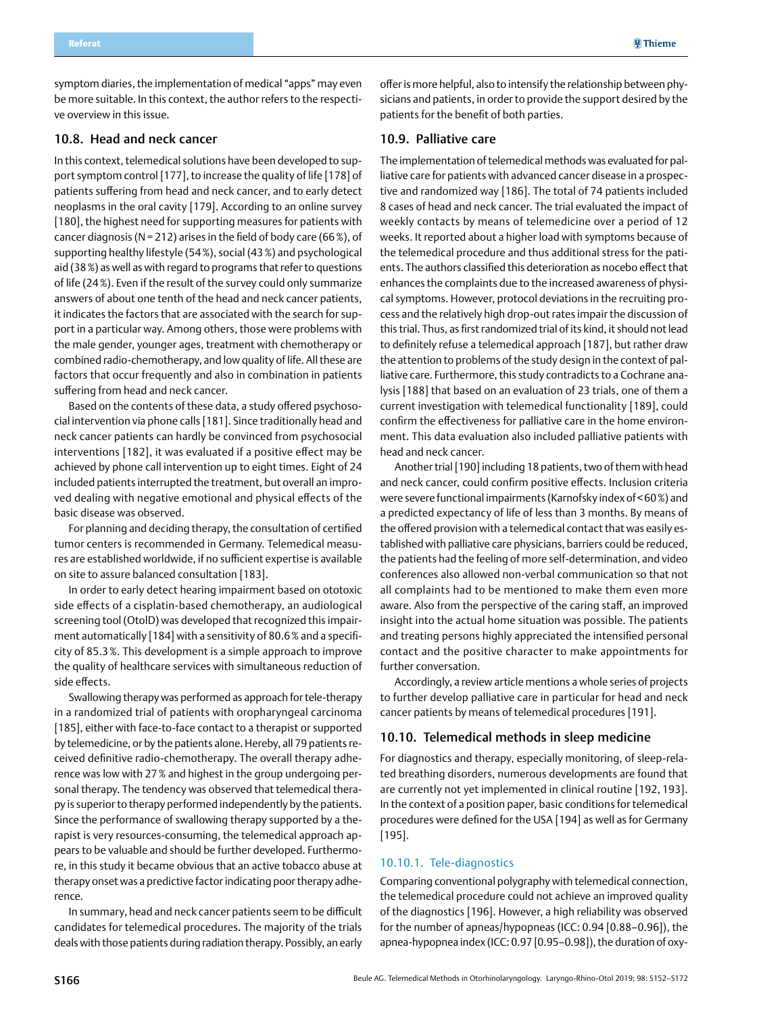<span id="page-14-0"></span>symptom diaries, the implementation of medical "apps" may even be more suitable. In this context, the author refers to the respective overview in this issue.

### 10.8. Head and neck cancer

In this context, telemedical solutions have been developed to support symptom control [177], to increase the quality of life [178] of patients suffering from head and neck cancer, and to early detect neoplasms in the oral cavity [179]. According to an online survey [180], the highest need for supporting measures for patients with cancer diagnosis (N = 212) arises in the field of body care (66%), of supporting healthy lifestyle (54%), social (43%) and psychological aid (38%) as well as with regard to programs that refer to questions of life (24%). Even if the result of the survey could only summarize answers of about one tenth of the head and neck cancer patients, it indicates the factors that are associated with the search for support in a particular way. Among others, those were problems with the male gender, younger ages, treatment with chemotherapy or combined radio-chemotherapy, and low quality of life. All these are factors that occur frequently and also in combination in patients suffering from head and neck cancer.

Based on the contents of these data, a study offered psychosocial intervention via phone calls [181]. Since traditionally head and neck cancer patients can hardly be convinced from psychosocial interventions [182], it was evaluated if a positive effect may be achieved by phone call intervention up to eight times. Eight of 24 included patients interrupted the treatment, but overall an improved dealing with negative emotional and physical effects of the basic disease was observed.

For planning and deciding therapy, the consultation of certified tumor centers is recommended in Germany. Telemedical measures are established worldwide, if no sufficient expertise is available on site to assure balanced consultation [183].

In order to early detect hearing impairment based on ototoxic side effects of a cisplatin-based chemotherapy, an audiological screening tool (OtolD) was developed that recognized this impairment automatically [184] with a sensitivity of 80.6% and a specificity of 85.3%. This development is a simple approach to improve the quality of healthcare services with simultaneous reduction of side effects.

Swallowing therapy was performed as approach for tele-therapy in a randomized trial of patients with oropharyngeal carcinoma [185], either with face-to-face contact to a therapist or supported by telemedicine, or by the patients alone. Hereby, all 79 patients received definitive radio-chemotherapy. The overall therapy adherence was low with 27% and highest in the group undergoing personal therapy. The tendency was observed that telemedical therapy is superior to therapy performed independently by the patients. Since the performance of swallowing therapy supported by a therapist is very resources-consuming, the telemedical approach appears to be valuable and should be further developed. Furthermore, in this study it became obvious that an active tobacco abuse at therapy onset was a predictive factor indicating poor therapy adherence.

In summary, head and neck cancer patients seem to be difficult candidates for telemedical procedures. The majority of the trials deals with those patients during radiation therapy. Possibly, an early offer is more helpful, also to intensify the relationship between physicians and patients, in order to provide the support desired by the patients for the benefit of both parties.

### 10.9. Palliative care

The implementation of telemedical methods was evaluated for palliative care for patients with advanced cancer disease in a prospective and randomized way [186]. The total of 74 patients included 8 cases of head and neck cancer. The trial evaluated the impact of weekly contacts by means of telemedicine over a period of 12 weeks. It reported about a higher load with symptoms because of the telemedical procedure and thus additional stress for the patients. The authors classified this deterioration as nocebo effect that enhances the complaints due to the increased awareness of physical symptoms. However, protocol deviations in the recruiting process and the relatively high drop-out rates impair the discussion of this trial. Thus, as first randomized trial of its kind, it should not lead to definitely refuse a telemedical approach [187], but rather draw the attention to problems of the study design in the context of palliative care. Furthermore, this study contradicts to a Cochrane analysis [188] that based on an evaluation of 23 trials, one of them a current investigation with telemedical functionality [189], could confirm the effectiveness for palliative care in the home environment. This data evaluation also included palliative patients with head and neck cancer.

Another trial [190] including 18 patients, two of them with head and neck cancer, could confirm positive effects. Inclusion criteria were severe functional impairments (Karnofsky index of<60%) and a predicted expectancy of life of less than 3 months. By means of the offered provision with a telemedical contact that was easily established with palliative care physicians, barriers could be reduced, the patients had the feeling of more self-determination, and video conferences also allowed non-verbal communication so that not all complaints had to be mentioned to make them even more aware. Also from the perspective of the caring staff, an improved insight into the actual home situation was possible. The patients and treating persons highly appreciated the intensified personal contact and the positive character to make appointments for further conversation.

Accordingly, a review article mentions a whole series of projects to further develop palliative care in particular for head and neck cancer patients by means of telemedical procedures [191].

#### 10.10. Telemedical methods in sleep medicine

For diagnostics and therapy, especially monitoring, of sleep-related breathing disorders, numerous developments are found that are currently not yet implemented in clinical routine [192, 193]. In the context of a position paper, basic conditions for telemedical procedures were defined for the USA [194] as well as for Germany [195].

#### 10.10.1. Tele-diagnostics

Comparing conventional polygraphy with telemedical connection, the telemedical procedure could not achieve an improved quality of the diagnostics [196]. However, a high reliability was observed for the number of apneas/hypopneas (ICC: 0.94 [0.88–0.96]), the apnea-hypopnea index (ICC: 0.97 [0.95–0.98]), the duration of oxy-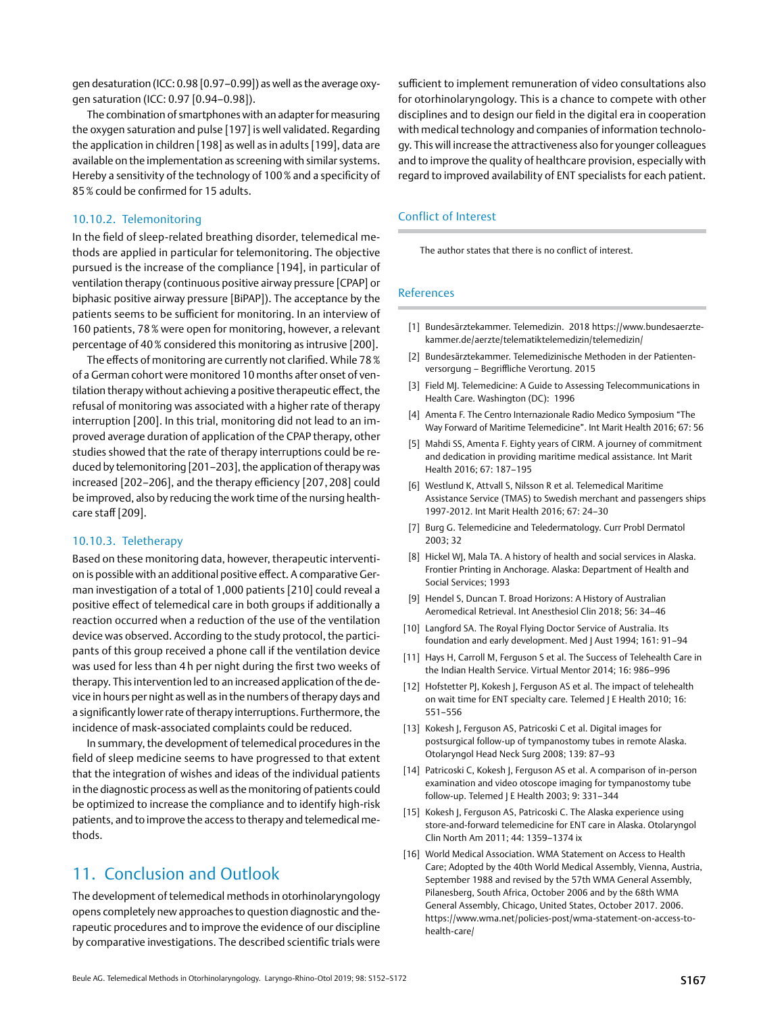10.10.2. Telemonitoring

gen saturation (ICC: 0.97 [0.94–0.98]).

85% could be confirmed for 15 adults.

In the field of sleep-related breathing disorder, telemedical methods are applied in particular for telemonitoring. The objective pursued is the increase of the compliance [194], in particular of ventilation therapy (continuous positive airway pressure [CPAP] or biphasic positive airway pressure [BiPAP]). The acceptance by the patients seems to be sufficient for monitoring. In an interview of 160 patients, 78% were open for monitoring, however, a relevant percentage of 40% considered this monitoring as intrusive [200].

<span id="page-15-0"></span>gen desaturation (ICC: 0.98 [0.97–0.99]) as well as the average oxy-

The combination of smartphones with an adapter for measuring the oxygen saturation and pulse [197] is well validated. Regarding the application in children [198] as well as in adults [199], data are available on the implementation as screening with similar systems. Hereby a sensitivity of the technology of 100% and a specificity of

The effects of monitoring are currently not clarified. While 78% of a German cohort were monitored 10 months after onset of ventilation therapy without achieving a positive therapeutic effect, the refusal of monitoring was associated with a higher rate of therapy interruption [200]. In this trial, monitoring did not lead to an improved average duration of application of the CPAP therapy, other studies showed that the rate of therapy interruptions could be reduced by telemonitoring [201–203], the application of therapy was increased [202–206], and the therapy efficiency [207, 208] could be improved, also by reducing the work time of the nursing healthcare staff [209].

### 10.10.3. Teletherapy

Based on these monitoring data, however, therapeutic intervention is possible with an additional positive effect. A comparative German investigation of a total of 1,000 patients [210] could reveal a positive effect of telemedical care in both groups if additionally a reaction occurred when a reduction of the use of the ventilation device was observed. According to the study protocol, the participants of this group received a phone call if the ventilation device was used for less than 4 h per night during the first two weeks of therapy. This intervention led to an increased application of the device in hours per night as well as in the numbers of therapy days and a significantly lower rate of therapy interruptions. Furthermore, the incidence of mask-associated complaints could be reduced.

In summary, the development of telemedical procedures in the field of sleep medicine seems to have progressed to that extent that the integration of wishes and ideas of the individual patients in the diagnostic process as well as the monitoring of patients could be optimized to increase the compliance and to identify high-risk patients, and to improve the access to therapy and telemedical methods.

## 11. Conclusion and Outlook

The development of telemedical methods in otorhinolaryngology opens completely new approaches to question diagnostic and therapeutic procedures and to improve the evidence of our discipline by comparative investigations. The described scientific trials were sufficient to implement remuneration of video consultations also for otorhinolaryngology. This is a chance to compete with other disciplines and to design our field in the digital era in cooperation with medical technology and companies of information technology. This will increase the attractiveness also for younger colleagues and to improve the quality of healthcare provision, especially with regard to improved availability of ENT specialists for each patient.

### Conflict of Interest

The author states that there is no conflict of interest.

### References

- [1] Bundesärztekammer. Telemedizin. 2018 [https://www.bundesaerzte](http://https://www.bundesaerztekammer.de/aerzte/telematiktelemedizin/telemedizin/)[kammer.de/aerzte/telematiktelemedizin/telemedizin/](http://https://www.bundesaerztekammer.de/aerzte/telematiktelemedizin/telemedizin/)
- [2] Bundesärztekammer. Telemedizinische Methoden in der Patientenversorgung – Begriffliche Verortung. 2015
- [3] Field MJ. Telemedicine: A Guide to Assessing Telecommunications in Health Care. Washington (DC): 1996
- [4] Amenta F. The Centro Internazionale Radio Medico Symposium "The Way Forward of Maritime Telemedicine". Int Marit Health 2016; 67: 56
- [5] Mahdi SS, Amenta F. Eighty years of CIRM. A journey of commitment and dedication in providing maritime medical assistance. Int Marit Health 2016; 67: 187–195
- [6] Westlund K, Attvall S, Nilsson R et al. Telemedical Maritime Assistance Service (TMAS) to Swedish merchant and passengers ships 1997-2012. Int Marit Health 2016; 67: 24–30
- [7] Burg G. Telemedicine and Teledermatology. Curr Probl Dermatol 2003; 32
- [8] Hickel WJ, Mala TA. A history of health and social services in Alaska. Frontier Printing in Anchorage. Alaska: Department of Health and Social Services; 1993
- [9] Hendel S, Duncan T. Broad Horizons: A History of Australian Aeromedical Retrieval. Int Anesthesiol Clin 2018; 56: 34–46
- [10] Langford SA. The Royal Flying Doctor Service of Australia. Its foundation and early development. Med J Aust 1994; 161: 91–94
- [11] Hays H, Carroll M, Ferguson S et al. The Success of Telehealth Care in the Indian Health Service. Virtual Mentor 2014; 16: 986–996
- [12] Hofstetter PJ, Kokesh J, Ferguson AS et al. The impact of telehealth on wait time for ENT specialty care. Telemed J E Health 2010; 16: 551–556
- [13] Kokesh J, Ferguson AS, Patricoski C et al. Digital images for postsurgical follow-up of tympanostomy tubes in remote Alaska. Otolaryngol Head Neck Surg 2008; 139: 87–93
- [14] Patricoski C, Kokesh J, Ferguson AS et al. A comparison of in-person examination and video otoscope imaging for tympanostomy tube follow-up. Telemed J E Health 2003; 9: 331–344
- [15] Kokesh J, Ferguson AS, Patricoski C. The Alaska experience using store-and-forward telemedicine for ENT care in Alaska. Otolaryngol Clin North Am 2011; 44: 1359–1374 ix
- [16] World Medical Association. WMA Statement on Access to Health Care; Adopted by the 40th World Medical Assembly, Vienna, Austria, September 1988 and revised by the 57th WMA General Assembly, Pilanesberg, South Africa, October 2006 and by the 68th WMA General Assembly, Chicago, United States, October 2017. 2006. [https://www.wma.net/policies-post/wma-statement-on-access-to](http://https://www.wma.net/policies-post/wma-statement-on-access-to-health-care/)[health-care/](http://https://www.wma.net/policies-post/wma-statement-on-access-to-health-care/)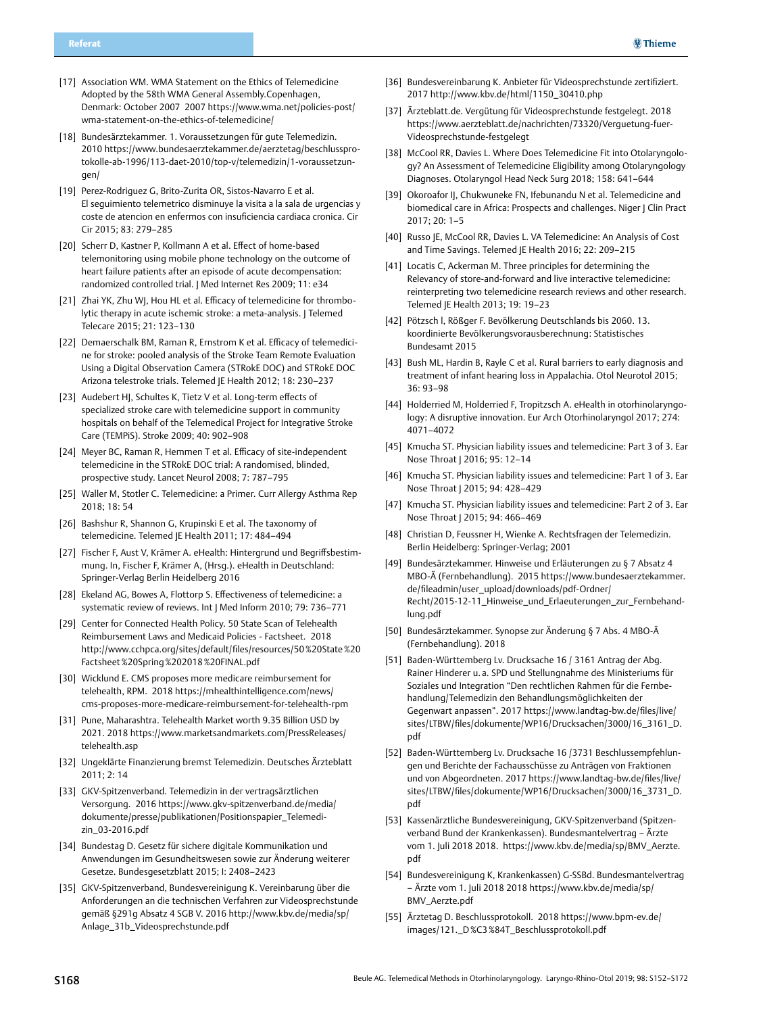- [17] Association WM. WMA Statement on the Ethics of Telemedicine Adopted by the 58th WMA General Assembly.Copenhagen, Denmark: October 2007 2007 [https://www.wma.net/policies-post/](http://https://www.wma.net/policies-post/wma-statement-on-the-ethics-of-telemedicine/) [wma-statement-on-the-ethics-of-telemedicine/](http://https://www.wma.net/policies-post/wma-statement-on-the-ethics-of-telemedicine/)
- [18] Bundesärztekammer. 1. Voraussetzungen für gute Telemedizin. 2010 [https://www.bundesaerztekammer.de/aerztetag/beschlusspro](http://https://www.bundesaerztekammer.de/aerztetag/beschlussprotokolle-ab-1996/113-daet-2010/top-v/telemedizin/1-voraussetzungen/)[tokolle-ab-1996/113-daet-2010/top-v/telemedizin/1-voraussetzun](http://https://www.bundesaerztekammer.de/aerztetag/beschlussprotokolle-ab-1996/113-daet-2010/top-v/telemedizin/1-voraussetzungen/)[gen/](http://https://www.bundesaerztekammer.de/aerztetag/beschlussprotokolle-ab-1996/113-daet-2010/top-v/telemedizin/1-voraussetzungen/)
- [19] Perez-Rodriguez G, Brito-Zurita OR, Sistos-Navarro E et al. El seguimiento telemetrico disminuye la visita a la sala de urgencias y coste de atencion en enfermos con insuficiencia cardiaca cronica. Cir Cir 2015; 83: 279–285
- [20] Scherr D, Kastner P, Kollmann A et al. Effect of home-based telemonitoring using mobile phone technology on the outcome of heart failure patients after an episode of acute decompensation: randomized controlled trial. I Med Internet Res 2009: 11: e34
- [21] Zhai YK, Zhu WJ, Hou HL et al. Efficacy of telemedicine for thrombolytic therapy in acute ischemic stroke: a meta-analysis. J Telemed Telecare 2015; 21: 123–130
- [22] Demaerschalk BM, Raman R, Ernstrom K et al. Efficacy of telemedicine for stroke: pooled analysis of the Stroke Team Remote Evaluation Using a Digital Observation Camera (STRokE DOC) and STRokE DOC Arizona telestroke trials. Telemed JE Health 2012; 18: 230–237
- [23] Audebert HJ, Schultes K, Tietz V et al. Long-term effects of specialized stroke care with telemedicine support in community hospitals on behalf of the Telemedical Project for Integrative Stroke Care (TEMPiS). Stroke 2009; 40: 902–908
- [24] Meyer BC, Raman R, Hemmen T et al. Efficacy of site-independent telemedicine in the STRokE DOC trial: A randomised, blinded, prospective study. Lancet Neurol 2008; 7: 787–795
- [25] Waller M, Stotler C. Telemedicine: a Primer. Curr Allergy Asthma Rep 2018; 18: 54
- [26] Bashshur R, Shannon G, Krupinski E et al. The taxonomy of telemedicine. Telemed JE Health 2011; 17: 484–494
- [27] Fischer F, Aust V, Krämer A. eHealth: Hintergrund und Begriffsbestimmung. In, Fischer F, Krämer A, (Hrsg.). eHealth in Deutschland: Springer-Verlag Berlin Heidelberg 2016
- [28] Ekeland AG, Bowes A, Flottorp S. Effectiveness of telemedicine: a systematic review of reviews. Int J Med Inform 2010; 79: 736–771
- [29] Center for Connected Health Policy. 50 State Scan of Telehealth Reimbursement Laws and Medicaid Policies - Factsheet. 2018 [http://www.cchpca.org/sites/default/files/resources/50%20State%20](http://www.cchpca.org/sites/default/files/resources/50%20State%20Factsheet%20Spring%202018%20FINAL.pdf) [Factsheet%20Spring%202018%20FINAL.pdf](http://www.cchpca.org/sites/default/files/resources/50%20State%20Factsheet%20Spring%202018%20FINAL.pdf)
- [30] Wicklund E. CMS proposes more medicare reimbursement for telehealth, RPM. 2018 [https://mhealthintelligence.com/news/](http://https://mhealthintelligence.com/news/cms-proposes-more-medicare-reimbursement-for-telehealth-rpm) [cms-proposes-more-medicare-reimbursement-for-telehealth-rpm](http://https://mhealthintelligence.com/news/cms-proposes-more-medicare-reimbursement-for-telehealth-rpm)
- [31] Pune, Maharashtra. Telehealth Market worth 9.35 Billion USD by 2021. 2018 [https://www.marketsandmarkets.com/PressReleases/](http://https://www.marketsandmarkets.com/PressReleases/telehealth.asp) [telehealth.asp](http://https://www.marketsandmarkets.com/PressReleases/telehealth.asp)
- [32] Ungeklärte Finanzierung bremst Telemedizin. Deutsches Ärzteblatt  $2011: 2: 14$
- [33] GKV-Spitzenverband. Telemedizin in der vertragsärztlichen Versorgung. 2016 [https://www.gkv-spitzenverband.de/media/](http://https://www.gkv-spitzenverband.de/media/dokumente/presse/publikationen/Positionspapier_Telemedizin_03-2016.pdf) [dokumente/presse/publikationen/Positionspapier\\_Telemedi](http://https://www.gkv-spitzenverband.de/media/dokumente/presse/publikationen/Positionspapier_Telemedizin_03-2016.pdf)[zin\\_03-2016.pdf](http://https://www.gkv-spitzenverband.de/media/dokumente/presse/publikationen/Positionspapier_Telemedizin_03-2016.pdf)
- [34] Bundestag D. Gesetz für sichere digitale Kommunikation und Anwendungen im Gesundheitswesen sowie zur Änderung weiterer Gesetze. Bundesgesetzblatt 2015; I: 2408–2423
- [35] GKV-Spitzenverband, Bundesvereinigung K. Vereinbarung über die Anforderungen an die technischen Verfahren zur Videosprechstunde gemäß §291g Absatz 4 SGB V. 2016 [http://www.kbv.de/media/sp/](http://www.kbv.de/media/sp/Anlage_31b_Videosprechstunde.pdf) [Anlage\\_31b\\_Videosprechstunde.pdf](http://www.kbv.de/media/sp/Anlage_31b_Videosprechstunde.pdf)
- [36] Bundesvereinbarung K. Anbieter für Videosprechstunde zertifiziert. 2017 [http://www.kbv.de/html/1150\\_30410.php](http://www.kbv.de/html/1150_30410.php)
- [37] Ärzteblatt.de. Vergütung für Videosprechstunde festgelegt. 2018 [https://www.aerzteblatt.de/nachrichten/73320/Verguetung-fuer-](http://https://www.aerzteblatt.de/nachrichten/73320/Verguetung-fuer-Videosprechstunde-festgelegt)[Videosprechstunde-festgelegt](http://https://www.aerzteblatt.de/nachrichten/73320/Verguetung-fuer-Videosprechstunde-festgelegt)
- [38] McCool RR, Davies L. Where Does Telemedicine Fit into Otolaryngology? An Assessment of Telemedicine Eligibility among Otolaryngology Diagnoses. Otolaryngol Head Neck Surg 2018; 158: 641–644
- [39] Okoroafor IJ, Chukwuneke FN, Ifebunandu N et al. Telemedicine and biomedical care in Africa: Prospects and challenges. Niger | Clin Pract 2017; 20: 1–5
- [40] Russo JE, McCool RR, Davies L. VA Telemedicine: An Analysis of Cost and Time Savings. Telemed JE Health 2016; 22: 209–215
- [41] Locatis C, Ackerman M. Three principles for determining the Relevancy of store-and-forward and live interactive telemedicine: reinterpreting two telemedicine research reviews and other research. Telemed JE Health 2013; 19: 19–23
- [42] Pötzsch l, Rößger F. Bevölkerung Deutschlands bis 2060. 13. koordinierte Bevölkerungsvorausberechnung: Statistisches Bundesamt 2015
- [43] Bush ML, Hardin B, Rayle C et al. Rural barriers to early diagnosis and treatment of infant hearing loss in Appalachia. Otol Neurotol 2015; 36: 93–98
- [44] Holderried M, Holderried F, Tropitzsch A. eHealth in otorhinolaryngology: A disruptive innovation. Eur Arch Otorhinolaryngol 2017; 274: 4071–4072
- [45] Kmucha ST. Physician liability issues and telemedicine: Part 3 of 3. Ear Nose Throat J 2016; 95: 12–14
- [46] Kmucha ST. Physician liability issues and telemedicine: Part 1 of 3. Ear Nose Throat J 2015; 94: 428–429
- [47] Kmucha ST. Physician liability issues and telemedicine: Part 2 of 3. Ear Nose Throat | 2015; 94: 466-469
- [48] Christian D, Feussner H, Wienke A. Rechtsfragen der Telemedizin. Berlin Heidelberg: Springer-Verlag; 2001
- [49] Bundesärztekammer. Hinweise und Erläuterungen zu § 7 Absatz 4 MBO-Ä (Fernbehandlung). 2015 [https://www.bundesaerztekammer.](http://https://www.bundesaerztekammer.de/fileadmin/user_upload/downloads/pdf-Ordner/Recht/2015-12-11_Hinweise_und_Erlaeuterungen_zur_Fernbehandlung.pdf) [de/fileadmin/user\\_upload/downloads/pdf-Ordner/](http://https://www.bundesaerztekammer.de/fileadmin/user_upload/downloads/pdf-Ordner/Recht/2015-12-11_Hinweise_und_Erlaeuterungen_zur_Fernbehandlung.pdf) [Recht/2015-12-11\\_Hinweise\\_und\\_Erlaeuterungen\\_zur\\_Fernbehand](http://https://www.bundesaerztekammer.de/fileadmin/user_upload/downloads/pdf-Ordner/Recht/2015-12-11_Hinweise_und_Erlaeuterungen_zur_Fernbehandlung.pdf)[lung.pdf](http://https://www.bundesaerztekammer.de/fileadmin/user_upload/downloads/pdf-Ordner/Recht/2015-12-11_Hinweise_und_Erlaeuterungen_zur_Fernbehandlung.pdf)
- [50] Bundesärztekammer. Synopse zur Änderung § 7 Abs. 4 MBO-Ä (Fernbehandlung). 2018
- [51] Baden-Württemberg Lv. Drucksache 16 / 3161 Antrag der Abg. Rainer Hinderer u. a. SPD und Stellungnahme des Ministeriums für Soziales und Integration "Den rechtlichen Rahmen für die Fernbehandlung/Telemedizin den Behandlungsmöglichkeiten der Gegenwart anpassen". 2017 [https://www.landtag-bw.de/files/live/](http://https://www.landtag-bw.de/files/live/sites/LTBW/files/dokumente/WP16/Drucksachen/3000/16_3161_D.pdf) [sites/LTBW/files/dokumente/WP16/Drucksachen/3000/16\\_3161\\_D.](http://https://www.landtag-bw.de/files/live/sites/LTBW/files/dokumente/WP16/Drucksachen/3000/16_3161_D.pdf) [pdf](http://https://www.landtag-bw.de/files/live/sites/LTBW/files/dokumente/WP16/Drucksachen/3000/16_3161_D.pdf)
- [52] Baden-Württemberg Lv. Drucksache 16 /3731 Beschlussempfehlungen und Berichte der Fachausschüsse zu Anträgen von Fraktionen und von Abgeordneten. 2017 [https://www.landtag-bw.de/files/live/](http://https://www.landtag-bw.de/files/live/sites/LTBW/files/dokumente/WP16/Drucksachen/3000/16_3731_D.pdf) [sites/LTBW/files/dokumente/WP16/Drucksachen/3000/16\\_3731\\_D.](http://https://www.landtag-bw.de/files/live/sites/LTBW/files/dokumente/WP16/Drucksachen/3000/16_3731_D.pdf) [pdf](http://https://www.landtag-bw.de/files/live/sites/LTBW/files/dokumente/WP16/Drucksachen/3000/16_3731_D.pdf)
- [53] Kassenärztliche Bundesvereinigung, GKV-Spitzenverband (Spitzenverband Bund der Krankenkassen). Bundesmantelvertrag – Ärzte vom 1. Juli 2018 2018. [https://www.kbv.de/media/sp/BMV\\_Aerzte.](http://https://www.kbv.de/media/sp/BMV_Aerzte.pdf) [pdf](http://https://www.kbv.de/media/sp/BMV_Aerzte.pdf)
- [54] Bundesvereinigung K, Krankenkassen) G-SSBd. Bundesmantelvertrag – Ärzte vom 1. Juli 2018 2018 [https://www.kbv.de/media/sp/](http://https://www.kbv.de/media/sp/BMV_Aerzte.pdf) [BMV\\_Aerzte.pdf](http://https://www.kbv.de/media/sp/BMV_Aerzte.pdf)
- [55] Ärztetag D. Beschlussprotokoll. 2018 [https://www.bpm-ev.de/](http://https://www.bpm-ev.de/images/121._D%C3%84T_Beschlussprotokoll.pdf) [images/121.\\_D%C3%84T\\_Beschlussprotokoll.pdf](http://https://www.bpm-ev.de/images/121._D%C3%84T_Beschlussprotokoll.pdf)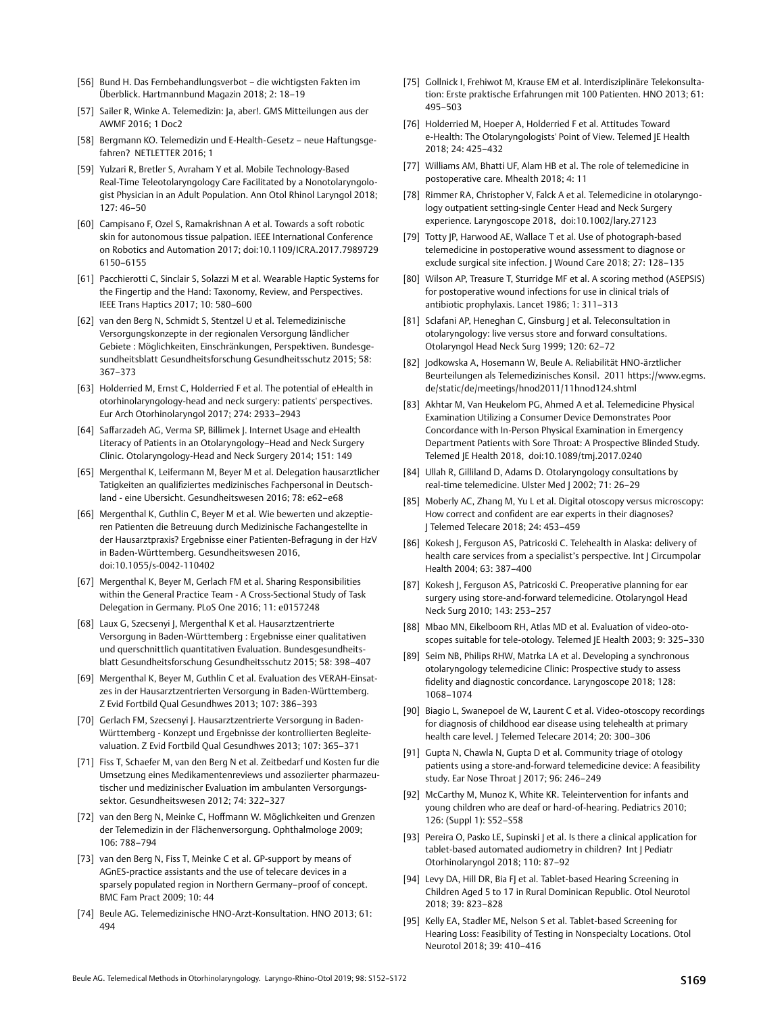- [56] Bund H. Das Fernbehandlungsverbot die wichtigsten Fakten im Überblick. Hartmannbund Magazin 2018; 2: 18–19
- [57] Sailer R, Winke A. Telemedizin: Ja, aber!. GMS Mitteilungen aus der AWMF 2016; 1 Doc2
- [58] Bergmann KO. Telemedizin und E-Health-Gesetz neue Haftungsgefahren? NETLETTER 2016; 1
- [59] Yulzari R, Bretler S, Avraham Y et al. Mobile Technology-Based Real-Time Teleotolaryngology Care Facilitated by a Nonotolaryngologist Physician in an Adult Population. Ann Otol Rhinol Laryngol 2018;  $127: 46 - 50$
- [60] Campisano F, Ozel S, Ramakrishnan A et al. Towards a soft robotic skin for autonomous tissue palpation. IEEE International Conference on Robotics and Automation 2017; doi:10.1109/ICRA.2017.7989729 6150–6155
- [61] Pacchierotti C, Sinclair S, Solazzi M et al. Wearable Haptic Systems for the Fingertip and the Hand: Taxonomy, Review, and Perspectives. IEEE Trans Haptics 2017; 10: 580–600
- [62] van den Berg N, Schmidt S, Stentzel U et al. Telemedizinische Versorgungskonzepte in der regionalen Versorgung ländlicher Gebiete : Möglichkeiten, Einschränkungen, Perspektiven. Bundesgesundheitsblatt Gesundheitsforschung Gesundheitsschutz 2015; 58: 367–373
- [63] Holderried M, Ernst C, Holderried F et al. The potential of eHealth in otorhinolaryngology-head and neck surgery: patients' perspectives. Eur Arch Otorhinolaryngol 2017; 274: 2933–2943
- [64] Saffarzadeh AG, Verma SP, Billimek J. Internet Usage and eHealth Literacy of Patients in an Otolaryngology–Head and Neck Surgery Clinic. Otolaryngology-Head and Neck Surgery 2014; 151: 149
- [65] Mergenthal K, Leifermann M, Beyer M et al. Delegation hausarztlicher Tatigkeiten an qualifiziertes medizinisches Fachpersonal in Deutschland - eine Ubersicht. Gesundheitswesen 2016; 78: e62–e68
- [66] Mergenthal K, Guthlin C, Beyer M et al. Wie bewerten und akzeptieren Patienten die Betreuung durch Medizinische Fachangestellte in der Hausarztpraxis? Ergebnisse einer Patienten-Befragung in der HzV in Baden-Württemberg. Gesundheitswesen 2016, doi:10.1055/s-0042-110402
- [67] Mergenthal K, Beyer M, Gerlach FM et al. Sharing Responsibilities within the General Practice Team - A Cross-Sectional Study of Task Delegation in Germany. PLoS One 2016; 11: e0157248
- [68] Laux G, Szecsenyi J, Mergenthal K et al. Hausarztzentrierte Versorgung in Baden-Württemberg : Ergebnisse einer qualitativen und querschnittlich quantitativen Evaluation. Bundesgesundheitsblatt Gesundheitsforschung Gesundheitsschutz 2015; 58: 398–407
- [69] Mergenthal K, Beyer M, Guthlin C et al. Evaluation des VERAH-Einsatzes in der Hausarztzentrierten Versorgung in Baden-Württemberg. Z Evid Fortbild Qual Gesundhwes 2013; 107: 386–393
- [70] Gerlach FM, Szecsenyi J. Hausarztzentrierte Versorgung in Baden-Württemberg - Konzept und Ergebnisse der kontrollierten Begleitevaluation. Z Evid Fortbild Qual Gesundhwes 2013; 107: 365–371
- [71] Fiss T, Schaefer M, van den Berg N et al. Zeitbedarf und Kosten fur die Umsetzung eines Medikamentenreviews und assoziierter pharmazeutischer und medizinischer Evaluation im ambulanten Versorgungssektor. Gesundheitswesen 2012; 74: 322–327
- [72] van den Berg N, Meinke C, Hoffmann W. Möglichkeiten und Grenzen der Telemedizin in der Flächenversorgung. Ophthalmologe 2009; 106: 788–794
- [73] van den Berg N, Fiss T, Meinke C et al. GP-support by means of AGnES-practice assistants and the use of telecare devices in a sparsely populated region in Northern Germany–proof of concept. BMC Fam Pract 2009; 10: 44
- [74] Beule AG. Telemedizinische HNO-Arzt-Konsultation. HNO 2013; 61: 494
- [75] Gollnick I, Frehiwot M, Krause EM et al. Interdisziplinäre Telekonsultation: Erste praktische Erfahrungen mit 100 Patienten. HNO 2013; 61: 495–503
- [76] Holderried M, Hoeper A, Holderried F et al. Attitudes Toward e-Health: The Otolaryngologists' Point of View. Telemed JE Health 2018; 24: 425–432
- [77] Williams AM, Bhatti UF, Alam HB et al. The role of telemedicine in postoperative care. Mhealth 2018; 4: 11
- [78] Rimmer RA, Christopher V, Falck A et al. Telemedicine in otolaryngology outpatient setting-single Center Head and Neck Surgery experience. Laryngoscope 2018, doi:10.1002/lary.27123
- [79] Totty JP, Harwood AE, Wallace T et al. Use of photograph-based telemedicine in postoperative wound assessment to diagnose or exclude surgical site infection. | Wound Care 2018; 27: 128-135
- [80] Wilson AP, Treasure T, Sturridge MF et al. A scoring method (ASEPSIS) for postoperative wound infections for use in clinical trials of antibiotic prophylaxis. Lancet 1986; 1: 311–313
- [81] Sclafani AP, Heneghan C, Ginsburg | et al. Teleconsultation in otolaryngology: live versus store and forward consultations. Otolaryngol Head Neck Surg 1999; 120: 62–72
- [82] Jodkowska A, Hosemann W, Beule A. Reliabilität HNO-ärztlicher Beurteilungen als Telemedizinisches Konsil. 2011 [https://www.egms.](http://https://www.egms.de/static/de/meetings/hnod2011/11hnod124.shtml) [de/static/de/meetings/hnod2011/11hnod124.shtml](http://https://www.egms.de/static/de/meetings/hnod2011/11hnod124.shtml)
- [83] Akhtar M, Van Heukelom PG, Ahmed A et al. Telemedicine Physical Examination Utilizing a Consumer Device Demonstrates Poor Concordance with In-Person Physical Examination in Emergency Department Patients with Sore Throat: A Prospective Blinded Study. Telemed JE Health 2018, doi:10.1089/tmj.2017.0240
- [84] Ullah R, Gilliland D, Adams D. Otolaryngology consultations by real-time telemedicine. Ulster Med J 2002; 71: 26–29
- [85] Moberly AC, Zhang M, Yu L et al. Digital otoscopy versus microscopy: How correct and confident are ear experts in their diagnoses? J Telemed Telecare 2018; 24: 453–459
- [86] Kokesh J, Ferguson AS, Patricoski C. Telehealth in Alaska: delivery of health care services from a specialist's perspective. Int J Circumpolar Health 2004; 63: 387–400
- [87] Kokesh J, Ferguson AS, Patricoski C. Preoperative planning for ear surgery using store-and-forward telemedicine. Otolaryngol Head Neck Surg 2010; 143: 253–257
- [88] Mbao MN, Eikelboom RH, Atlas MD et al. Evaluation of video-otoscopes suitable for tele-otology. Telemed JE Health 2003; 9: 325–330
- [89] Seim NB, Philips RHW, Matrka LA et al. Developing a synchronous otolaryngology telemedicine Clinic: Prospective study to assess fidelity and diagnostic concordance. Laryngoscope 2018; 128: 1068–1074
- [90] Biagio L, Swanepoel de W, Laurent C et al. Video-otoscopy recordings for diagnosis of childhood ear disease using telehealth at primary health care level. | Telemed Telecare 2014; 20: 300-306
- [91] Gupta N, Chawla N, Gupta D et al. Community triage of otology patients using a store-and-forward telemedicine device: A feasibility study. Ear Nose Throat J 2017; 96: 246–249
- [92] McCarthy M, Munoz K, White KR, Teleintervention for infants and young children who are deaf or hard-of-hearing. Pediatrics 2010; 126: (Suppl 1): S52–S58
- [93] Pereira O, Pasko LE, Supinski J et al. Is there a clinical application for tablet-based automated audiometry in children? Int J Pediatr Otorhinolaryngol 2018; 110: 87–92
- [94] Levy DA, Hill DR, Bia FJ et al. Tablet-based Hearing Screening in Children Aged 5 to 17 in Rural Dominican Republic. Otol Neurotol 2018; 39: 823–828
- [95] Kelly EA, Stadler ME, Nelson S et al. Tablet-based Screening for Hearing Loss: Feasibility of Testing in Nonspecialty Locations. Otol Neurotol 2018; 39: 410–416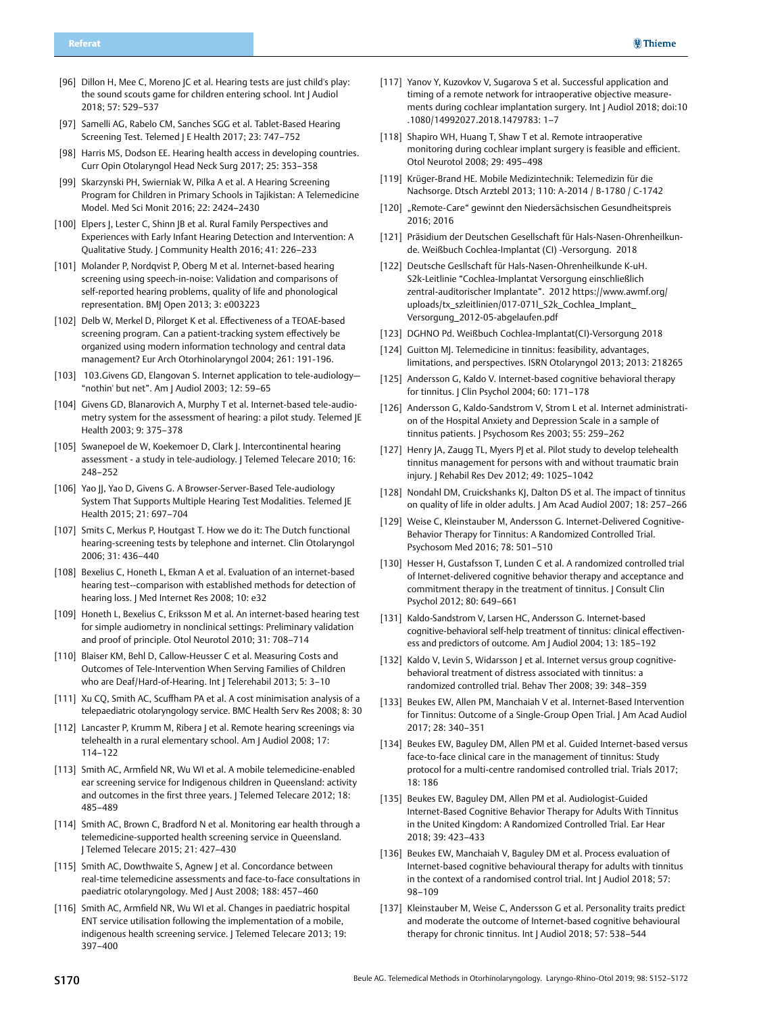- [96] Dillon H, Mee C, Moreno JC et al. Hearing tests are just child's play: the sound scouts game for children entering school. Int | Audiol 2018; 57: 529–537
- [97] Samelli AG, Rabelo CM, Sanches SGG et al. Tablet-Based Hearing Screening Test. Telemed J E Health 2017; 23: 747–752
- [98] Harris MS, Dodson EE. Hearing health access in developing countries. Curr Opin Otolaryngol Head Neck Surg 2017; 25: 353–358
- [99] Skarzynski PH, Swierniak W, Pilka A et al. A Hearing Screening Program for Children in Primary Schools in Tajikistan: A Telemedicine Model. Med Sci Monit 2016; 22: 2424–2430
- [100] Elpers J, Lester C, Shinn JB et al. Rural Family Perspectives and Experiences with Early Infant Hearing Detection and Intervention: A Qualitative Study. J Community Health 2016; 41: 226–233
- [101] Molander P, Nordqvist P, Oberg M et al. Internet-based hearing screening using speech-in-noise: Validation and comparisons of self-reported hearing problems, quality of life and phonological representation. BMJ Open 2013; 3: e003223
- [102] Delb W, Merkel D, Pilorget K et al. Effectiveness of a TEOAE-based screening program. Can a patient-tracking system effectively be organized using modern information technology and central data management? Eur Arch Otorhinolaryngol 2004; 261: 191-196.
- [103] 103.Givens GD, Elangovan S. Internet application to tele-audiology-"nothin' but net". Am J Audiol 2003; 12: 59–65
- [104] Givens GD, Blanarovich A, Murphy T et al. Internet-based tele-audiometry system for the assessment of hearing: a pilot study. Telemed JE Health 2003; 9: 375–378
- [105] Swanepoel de W, Koekemoer D, Clark J. Intercontinental hearing assessment - a study in tele-audiology. J Telemed Telecare 2010; 16: 248–252
- [106] Yao JJ, Yao D, Givens G. A Browser-Server-Based Tele-audiology System That Supports Multiple Hearing Test Modalities. Telemed JE Health 2015; 21: 697–704
- [107] Smits C, Merkus P, Houtgast T. How we do it: The Dutch functional hearing-screening tests by telephone and internet. Clin Otolaryngol 2006; 31: 436–440
- [108] Bexelius C, Honeth L, Ekman A et al. Evaluation of an internet-based hearing test--comparison with established methods for detection of hearing loss. J Med Internet Res 2008; 10: e32
- [109] Honeth L, Bexelius C, Eriksson M et al. An internet-based hearing test for simple audiometry in nonclinical settings: Preliminary validation and proof of principle. Otol Neurotol 2010; 31: 708–714
- [110] Blaiser KM, Behl D, Callow-Heusser C et al. Measuring Costs and Outcomes of Tele-Intervention When Serving Families of Children who are Deaf/Hard-of-Hearing. Int J Telerehabil 2013; 5: 3–10
- [111] Xu CQ, Smith AC, Scuffham PA et al. A cost minimisation analysis of a telepaediatric otolaryngology service. BMC Health Serv Res 2008; 8: 30
- [112] Lancaster P, Krumm M, Ribera J et al. Remote hearing screenings via telehealth in a rural elementary school. Am J Audiol 2008; 17: 114–122
- [113] Smith AC, Armfield NR, Wu WI et al. A mobile telemedicine-enabled ear screening service for Indigenous children in Queensland: activity and outcomes in the first three years. J Telemed Telecare 2012; 18: 485–489
- [114] Smith AC, Brown C, Bradford N et al. Monitoring ear health through a telemedicine-supported health screening service in Queensland. J Telemed Telecare 2015; 21: 427–430
- [115] Smith AC, Dowthwaite S, Agnew | et al. Concordance between real-time telemedicine assessments and face-to-face consultations in paediatric otolaryngology. Med J Aust 2008; 188: 457–460
- [116] Smith AC, Armfield NR, Wu WI et al. Changes in paediatric hospital ENT service utilisation following the implementation of a mobile, indigenous health screening service. J Telemed Telecare 2013; 19: 397–400
- [117] Yanov Y, Kuzovkov V, Sugarova S et al. Successful application and timing of a remote network for intraoperative objective measurements during cochlear implantation surgery. Int J Audiol 2018; doi:10 .1080/14992027.2018.1479783: 1–7
- [118] Shapiro WH, Huang T, Shaw T et al. Remote intraoperative monitoring during cochlear implant surgery is feasible and efficient. Otol Neurotol 2008; 29: 495–498
- [119] Krüger-Brand HE. Mobile Medizintechnik: Telemedizin für die Nachsorge. Dtsch Arztebl 2013; 110: A-2014 / B-1780 / C-1742
- [120] "Remote-Care" gewinnt den Niedersächsischen Gesundheitspreis 2016; 2016
- [121] Präsidium der Deutschen Gesellschaft für Hals-Nasen-Ohrenheilkunde. Weißbuch Cochlea-Implantat (CI) -Versorgung. 2018
- [122] Deutsche Gesllschaft für Hals-Nasen-Ohrenheilkunde K-uH. S2k-Leitlinie "Cochlea-Implantat Versorgung einschließlich zentral-auditorischer Implantate". 2012 [https://www.awmf.org/](http://https://www.awmf.org/uploads/tx_szleitlinien/017-071l_S2k_Cochlea_Implant_Versorgung_2012-05-abgelaufen.pdf) uploads/tx\_szleitlinien/017-071l\_S2k\_Cochlea\_Implant [Versorgung\\_2012-05-abgelaufen.pdf](http://https://www.awmf.org/uploads/tx_szleitlinien/017-071l_S2k_Cochlea_Implant_Versorgung_2012-05-abgelaufen.pdf)
- [123] DGHNO Pd. Weißbuch Cochlea-Implantat(CI)-Versorgung 2018
- [124] Guitton MJ. Telemedicine in tinnitus: feasibility, advantages, limitations, and perspectives. ISRN Otolaryngol 2013; 2013: 218265
- [125] Andersson G, Kaldo V, Internet-based cognitive behavioral therapy for tinnitus. J Clin Psychol 2004; 60: 171–178
- [126] Andersson G, Kaldo-Sandstrom V, Strom L et al. Internet administration of the Hospital Anxiety and Depression Scale in a sample of tinnitus patients. | Psychosom Res 2003; 55: 259-262
- [127] Henry JA, Zaugg TL, Myers PJ et al. Pilot study to develop telehealth tinnitus management for persons with and without traumatic brain injury. J Rehabil Res Dev 2012; 49: 1025–1042
- [128] Nondahl DM, Cruickshanks KJ, Dalton DS et al. The impact of tinnitus on quality of life in older adults. J Am Acad Audiol 2007; 18: 257–266
- [129] Weise C, Kleinstauber M, Andersson G. Internet-Delivered Cognitive-Behavior Therapy for Tinnitus: A Randomized Controlled Trial. Psychosom Med 2016; 78: 501–510
- [130] Hesser H, Gustafsson T, Lunden C et al. A randomized controlled trial of Internet-delivered cognitive behavior therapy and acceptance and commitment therapy in the treatment of tinnitus. J Consult Clin Psychol 2012; 80: 649–661
- [131] Kaldo-Sandstrom V, Larsen HC, Andersson G. Internet-based cognitive-behavioral self-help treatment of tinnitus: clinical effectiveness and predictors of outcome. Am J Audiol 2004; 13: 185–192
- [132] Kaldo V, Levin S, Widarsson | et al. Internet versus group cognitivebehavioral treatment of distress associated with tinnitus: a randomized controlled trial. Behav Ther 2008; 39: 348–359
- [133] Beukes EW, Allen PM, Manchaiah V et al. Internet-Based Intervention for Tinnitus: Outcome of a Single-Group Open Trial. J Am Acad Audiol 2017; 28: 340–351
- [134] Beukes EW, Baguley DM, Allen PM et al. Guided Internet-based versus face-to-face clinical care in the management of tinnitus: Study protocol for a multi-centre randomised controlled trial. Trials 2017; 18: 186
- [135] Beukes EW, Baguley DM, Allen PM et al. Audiologist-Guided Internet-Based Cognitive Behavior Therapy for Adults With Tinnitus in the United Kingdom: A Randomized Controlled Trial. Ear Hear 2018; 39: 423–433
- [136] Beukes EW, Manchaiah V, Baguley DM et al. Process evaluation of Internet-based cognitive behavioural therapy for adults with tinnitus in the context of a randomised control trial. Int J Audiol 2018; 57: 98–109
- [137] Kleinstauber M, Weise C, Andersson G et al. Personality traits predict and moderate the outcome of Internet-based cognitive behavioural therapy for chronic tinnitus. Int J Audiol 2018; 57: 538–544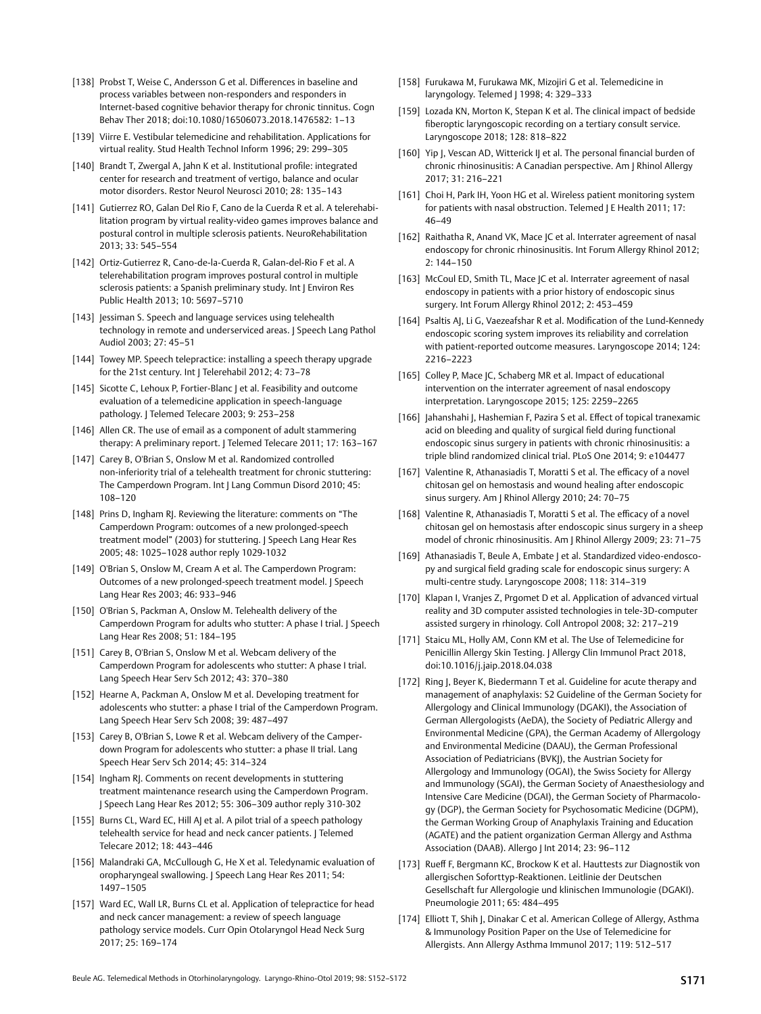- [138] Probst T, Weise C, Andersson G et al. Differences in baseline and process variables between non-responders and responders in Internet-based cognitive behavior therapy for chronic tinnitus. Cogn Behav Ther 2018; doi:10.1080/16506073.2018.1476582: 1–13
- [139] Viirre E. Vestibular telemedicine and rehabilitation. Applications for virtual reality. Stud Health Technol Inform 1996; 29: 299–305
- [140] Brandt T, Zwergal A, Jahn K et al. Institutional profile: integrated center for research and treatment of vertigo, balance and ocular motor disorders. Restor Neurol Neurosci 2010; 28: 135–143
- [141] Gutierrez RO, Galan Del Rio F, Cano de la Cuerda R et al. A telerehabilitation program by virtual reality-video games improves balance and postural control in multiple sclerosis patients. NeuroRehabilitation 2013; 33: 545–554
- [142] Ortiz-Gutierrez R, Cano-de-la-Cuerda R, Galan-del-Rio F et al. A telerehabilitation program improves postural control in multiple sclerosis patients: a Spanish preliminary study. Int J Environ Res Public Health 2013; 10: 5697–5710
- [143] Jessiman S. Speech and language services using telehealth technology in remote and underserviced areas. J Speech Lang Pathol Audiol 2003; 27: 45–51
- [144] Towey MP. Speech telepractice: installing a speech therapy upgrade for the 21st century. Int | Telerehabil 2012; 4: 73-78
- [145] Sicotte C, Lehoux P, Fortier-Blanc J et al. Feasibility and outcome evaluation of a telemedicine application in speech-language pathology. J Telemed Telecare 2003; 9: 253–258
- [146] Allen CR. The use of email as a component of adult stammering therapy: A preliminary report. J Telemed Telecare 2011; 17: 163-167
- [147] Carey B, O'Brian S, Onslow M et al. Randomized controlled non-inferiority trial of a telehealth treatment for chronic stuttering: The Camperdown Program. Int J Lang Commun Disord 2010; 45: 108–120
- [148] Prins D, Ingham RJ. Reviewing the literature: comments on "The Camperdown Program: outcomes of a new prolonged-speech treatment model" (2003) for stuttering. J Speech Lang Hear Res 2005; 48: 1025–1028 author reply 1029-1032
- [149] O'Brian S, Onslow M, Cream A et al. The Camperdown Program: Outcomes of a new prolonged-speech treatment model. J Speech Lang Hear Res 2003; 46: 933–946
- [150] O'Brian S, Packman A, Onslow M. Telehealth delivery of the Camperdown Program for adults who stutter: A phase I trial. J Speech Lang Hear Res 2008; 51: 184–195
- [151] Carey B, O'Brian S, Onslow M et al. Webcam delivery of the Camperdown Program for adolescents who stutter: A phase I trial. Lang Speech Hear Serv Sch 2012; 43: 370–380
- [152] Hearne A, Packman A, Onslow M et al. Developing treatment for adolescents who stutter: a phase I trial of the Camperdown Program. Lang Speech Hear Serv Sch 2008; 39: 487–497
- [153] Carey B, O'Brian S, Lowe R et al. Webcam delivery of the Camperdown Program for adolescents who stutter: a phase II trial. Lang Speech Hear Serv Sch 2014; 45: 314–324
- [154] Ingham RJ. Comments on recent developments in stuttering treatment maintenance research using the Camperdown Program. J Speech Lang Hear Res 2012; 55: 306–309 author reply 310-302
- [155] Burns CL, Ward EC, Hill AJ et al. A pilot trial of a speech pathology telehealth service for head and neck cancer patients. J Telemed Telecare 2012; 18: 443–446
- [156] Malandraki GA, McCullough G, He X et al. Teledynamic evaluation of oropharyngeal swallowing. J Speech Lang Hear Res 2011; 54: 1497–1505
- [157] Ward EC, Wall LR, Burns CL et al. Application of telepractice for head and neck cancer management: a review of speech language pathology service models. Curr Opin Otolaryngol Head Neck Surg 2017; 25: 169–174
- [158] Furukawa M, Furukawa MK, Mizojiri G et al. Telemedicine in laryngology. Telemed | 1998; 4: 329-333
- [159] Lozada KN, Morton K, Stepan K et al. The clinical impact of bedside fiberoptic laryngoscopic recording on a tertiary consult service. Laryngoscope 2018; 128: 818–822
- [160] Yip J, Vescan AD, Witterick IJ et al. The personal financial burden of chronic rhinosinusitis: A Canadian perspective. Am J Rhinol Allergy 2017; 31: 216–221
- [161] Choi H, Park IH, Yoon HG et al. Wireless patient monitoring system for patients with nasal obstruction. Telemed | E Health 2011; 17: 46–49
- [162] Raithatha R, Anand VK, Mace JC et al. Interrater agreement of nasal endoscopy for chronic rhinosinusitis. Int Forum Allergy Rhinol 2012;  $2: 144 - 150$
- [163] McCoul ED, Smith TL, Mace JC et al. Interrater agreement of nasal endoscopy in patients with a prior history of endoscopic sinus surgery. Int Forum Allergy Rhinol 2012; 2: 453–459
- [164] Psaltis AJ, Li G, Vaezeafshar R et al. Modification of the Lund-Kennedy endoscopic scoring system improves its reliability and correlation with patient-reported outcome measures. Laryngoscope 2014; 124: 2216–2223
- [165] Colley P, Mace JC, Schaberg MR et al. Impact of educational intervention on the interrater agreement of nasal endoscopy interpretation. Laryngoscope 2015; 125: 2259–2265
- [166] Jahanshahi J, Hashemian F, Pazira S et al. Effect of topical tranexamic acid on bleeding and quality of surgical field during functional endoscopic sinus surgery in patients with chronic rhinosinusitis: a triple blind randomized clinical trial. PLoS One 2014; 9: e104477
- [167] Valentine R, Athanasiadis T, Moratti S et al. The efficacy of a novel chitosan gel on hemostasis and wound healing after endoscopic sinus surgery. Am J Rhinol Allergy 2010; 24: 70–75
- [168] Valentine R, Athanasiadis T, Moratti S et al. The efficacy of a novel chitosan gel on hemostasis after endoscopic sinus surgery in a sheep model of chronic rhinosinusitis. Am J Rhinol Allergy 2009; 23: 71–75
- [169] Athanasiadis T, Beule A, Embate J et al. Standardized video-endoscopy and surgical field grading scale for endoscopic sinus surgery: A multi-centre study. Laryngoscope 2008; 118: 314–319
- [170] Klapan I, Vranjes Z, Prgomet D et al. Application of advanced virtual reality and 3D computer assisted technologies in tele-3D-computer assisted surgery in rhinology. Coll Antropol 2008; 32: 217–219
- [171] Staicu ML, Holly AM, Conn KM et al. The Use of Telemedicine for Penicillin Allergy Skin Testing. J Allergy Clin Immunol Pract 2018, doi:10.1016/j.jaip.2018.04.038
- [172] Ring J, Beyer K, Biedermann T et al. Guideline for acute therapy and management of anaphylaxis: S2 Guideline of the German Society for Allergology and Clinical Immunology (DGAKI), the Association of German Allergologists (AeDA), the Society of Pediatric Allergy and Environmental Medicine (GPA), the German Academy of Allergology and Environmental Medicine (DAAU), the German Professional Association of Pediatricians (BVKJ), the Austrian Society for Allergology and Immunology (OGAI), the Swiss Society for Allergy and Immunology (SGAI), the German Society of Anaesthesiology and Intensive Care Medicine (DGAI), the German Society of Pharmacology (DGP), the German Society for Psychosomatic Medicine (DGPM), the German Working Group of Anaphylaxis Training and Education (AGATE) and the patient organization German Allergy and Asthma Association (DAAB). Allergo J Int 2014; 23: 96–112
- [173] Rueff F, Bergmann KC, Brockow K et al. Hauttests zur Diagnostik von allergischen Soforttyp-Reaktionen. Leitlinie der Deutschen Gesellschaft fur Allergologie und klinischen Immunologie (DGAKI). Pneumologie 2011; 65: 484–495
- [174] Elliott T, Shih J, Dinakar C et al. American College of Allergy, Asthma & Immunology Position Paper on the Use of Telemedicine for Allergists. Ann Allergy Asthma Immunol 2017; 119: 512–517